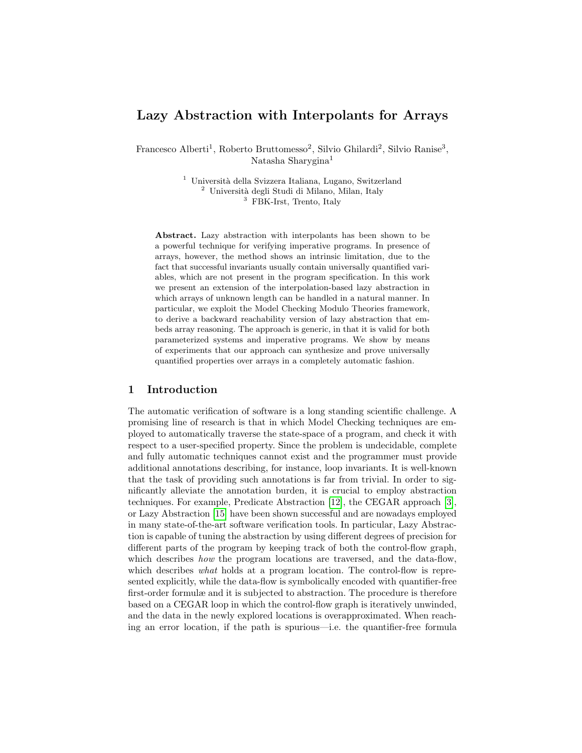# Lazy Abstraction with Interpolants for Arrays

Francesco Alberti<sup>1</sup>, Roberto Bruttomesso<sup>2</sup>, Silvio Ghilardi<sup>2</sup>, Silvio Ranise<sup>3</sup>, Natasha Sharygina<sup>1</sup>

> $1$  Università della Svizzera Italiana, Lugano, Switzerland <sup>2</sup> Università degli Studi di Milano, Milan, Italy <sup>3</sup> FBK-Irst, Trento, Italy

Abstract. Lazy abstraction with interpolants has been shown to be a powerful technique for verifying imperative programs. In presence of arrays, however, the method shows an intrinsic limitation, due to the fact that successful invariants usually contain universally quantified variables, which are not present in the program specification. In this work we present an extension of the interpolation-based lazy abstraction in which arrays of unknown length can be handled in a natural manner. In particular, we exploit the Model Checking Modulo Theories framework, to derive a backward reachability version of lazy abstraction that embeds array reasoning. The approach is generic, in that it is valid for both parameterized systems and imperative programs. We show by means of experiments that our approach can synthesize and prove universally quantified properties over arrays in a completely automatic fashion.

## 1 Introduction

The automatic verification of software is a long standing scientific challenge. A promising line of research is that in which Model Checking techniques are employed to automatically traverse the state-space of a program, and check it with respect to a user-specified property. Since the problem is undecidable, complete and fully automatic techniques cannot exist and the programmer must provide additional annotations describing, for instance, loop invariants. It is well-known that the task of providing such annotations is far from trivial. In order to significantly alleviate the annotation burden, it is crucial to employ abstraction techniques. For example, Predicate Abstraction [\[12\]](#page-14-0), the CEGAR approach [\[3\]](#page-14-1), or Lazy Abstraction [\[15\]](#page-14-2) have been shown successful and are nowadays employed in many state-of-the-art software verification tools. In particular, Lazy Abstraction is capable of tuning the abstraction by using different degrees of precision for different parts of the program by keeping track of both the control-flow graph, which describes *how* the program locations are traversed, and the data-flow, which describes *what* holds at a program location. The control-flow is represented explicitly, while the data-flow is symbolically encoded with quantifier-free first-order formulæ and it is subjected to abstraction. The procedure is therefore based on a CEGAR loop in which the control-flow graph is iteratively unwinded, and the data in the newly explored locations is overapproximated. When reaching an error location, if the path is spurious—i.e. the quantifier-free formula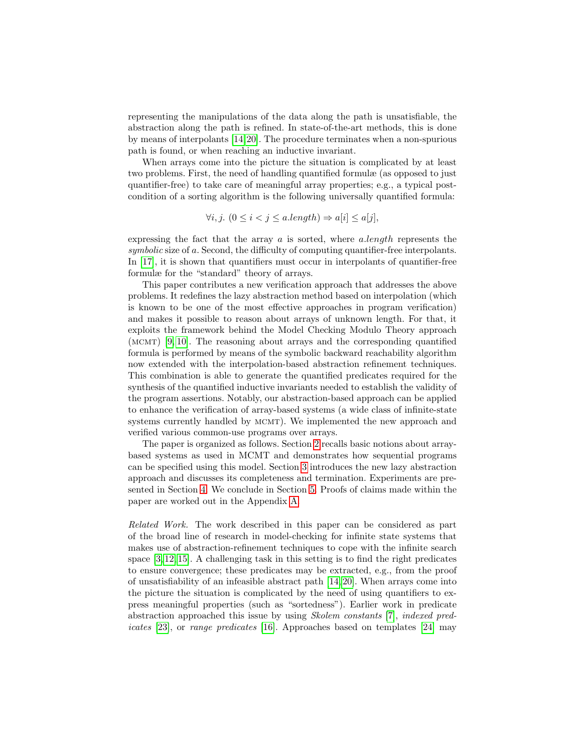representing the manipulations of the data along the path is unsatisfiable, the abstraction along the path is refined. In state-of-the-art methods, this is done by means of interpolants [\[14,](#page-14-3)[20\]](#page-14-4). The procedure terminates when a non-spurious path is found, or when reaching an inductive invariant.

When arrays come into the picture the situation is complicated by at least two problems. First, the need of handling quantified formulæ (as opposed to just quantifier-free) to take care of meaningful array properties; e.g., a typical postcondition of a sorting algorithm is the following universally quantified formula:

$$
\forall i, j. \ (0 \le i < j \le a.length) \Rightarrow a[i] \le a[j],
$$

expressing the fact that the array  $\alpha$  is sorted, where  $\alpha.length$  represents the symbolic size of a. Second, the difficulty of computing quantifier-free interpolants. In [\[17\]](#page-14-5), it is shown that quantifiers must occur in interpolants of quantifier-free formulæ for the "standard" theory of arrays.

This paper contributes a new verification approach that addresses the above problems. It redefines the lazy abstraction method based on interpolation (which is known to be one of the most effective approaches in program verification) and makes it possible to reason about arrays of unknown length. For that, it exploits the framework behind the Model Checking Modulo Theory approach (mcmt) [\[9,](#page-14-6) [10\]](#page-14-7). The reasoning about arrays and the corresponding quantified formula is performed by means of the symbolic backward reachability algorithm now extended with the interpolation-based abstraction refinement techniques. This combination is able to generate the quantified predicates required for the synthesis of the quantified inductive invariants needed to establish the validity of the program assertions. Notably, our abstraction-based approach can be applied to enhance the verification of array-based systems (a wide class of infinite-state systems currently handled by MCMT). We implemented the new approach and verified various common-use programs over arrays.

The paper is organized as follows. Section [2](#page-2-0) recalls basic notions about arraybased systems as used in MCMT and demonstrates how sequential programs can be specified using this model. Section [3](#page-6-0) introduces the new lazy abstraction approach and discusses its completeness and termination. Experiments are presented in Section [4.](#page-12-0) We conclude in Section [5.](#page-13-0) Proofs of claims made within the paper are worked out in the Appendix [A.](#page-16-0)

Related Work. The work described in this paper can be considered as part of the broad line of research in model-checking for infinite state systems that makes use of abstraction-refinement techniques to cope with the infinite search space [\[3,](#page-14-1) [12,](#page-14-0) [15\]](#page-14-2). A challenging task in this setting is to find the right predicates to ensure convergence; these predicates may be extracted, e.g., from the proof of unsatisfiability of an infeasible abstract path [\[14,](#page-14-3) [20\]](#page-14-4). When arrays come into the picture the situation is complicated by the need of using quantifiers to express meaningful properties (such as "sortedness"). Earlier work in predicate abstraction approached this issue by using Skolem constants [\[7\]](#page-14-8), indexed predicates [\[23\]](#page-15-0), or range predicates [\[16\]](#page-14-9). Approaches based on templates [\[24\]](#page-15-1) may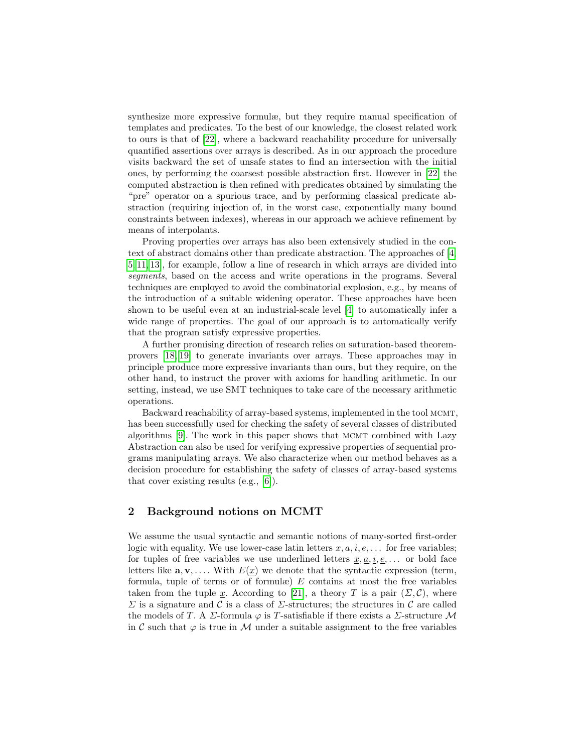synthesize more expressive formulæ, but they require manual specification of templates and predicates. To the best of our knowledge, the closest related work to ours is that of [\[22\]](#page-15-2), where a backward reachability procedure for universally quantified assertions over arrays is described. As in our approach the procedure visits backward the set of unsafe states to find an intersection with the initial ones, by performing the coarsest possible abstraction first. However in [\[22\]](#page-15-2) the computed abstraction is then refined with predicates obtained by simulating the "pre" operator on a spurious trace, and by performing classical predicate abstraction (requiring injection of, in the worst case, exponentially many bound constraints between indexes), whereas in our approach we achieve refinement by means of interpolants.

Proving properties over arrays has also been extensively studied in the context of abstract domains other than predicate abstraction. The approaches of [\[4,](#page-14-10) [5,](#page-14-11) [11,](#page-14-12) [13\]](#page-14-13), for example, follow a line of research in which arrays are divided into segments, based on the access and write operations in the programs. Several techniques are employed to avoid the combinatorial explosion, e.g., by means of the introduction of a suitable widening operator. These approaches have been shown to be useful even at an industrial-scale level [\[4\]](#page-14-10) to automatically infer a wide range of properties. The goal of our approach is to automatically verify that the program satisfy expressive properties.

A further promising direction of research relies on saturation-based theoremprovers [\[18,](#page-14-14) [19\]](#page-14-15) to generate invariants over arrays. These approaches may in principle produce more expressive invariants than ours, but they require, on the other hand, to instruct the prover with axioms for handling arithmetic. In our setting, instead, we use SMT techniques to take care of the necessary arithmetic operations.

Backward reachability of array-based systems, implemented in the tool mcmt, has been successfully used for checking the safety of several classes of distributed algorithms  $[9]$ . The work in this paper shows that MCMT combined with Lazy Abstraction can also be used for verifying expressive properties of sequential programs manipulating arrays. We also characterize when our method behaves as a decision procedure for establishing the safety of classes of array-based systems that cover existing results (e.g., [\[6\]](#page-14-16)).

## <span id="page-2-0"></span>2 Background notions on MCMT

We assume the usual syntactic and semantic notions of many-sorted first-order logic with equality. We use lower-case latin letters  $x, a, i, e, \ldots$  for free variables; for tuples of free variables we use underlined letters  $\underline{x}, \underline{a}, \underline{i}, \underline{e}, \ldots$  or bold face letters like  $\mathbf{a}, \mathbf{v}, \ldots$  With  $E(x)$  we denote that the syntactic expression (term, formula, tuple of terms or of formulæ)  $E$  contains at most the free variables taken from the tuple x. According to [\[21\]](#page-14-17), a theory T is a pair  $(\Sigma, \mathcal{C})$ , where  $\Sigma$  is a signature and C is a class of  $\Sigma$ -structures; the structures in C are called the models of T. A  $\Sigma$ -formula  $\varphi$  is T-satisfiable if there exists a  $\Sigma$ -structure M in C such that  $\varphi$  is true in M under a suitable assignment to the free variables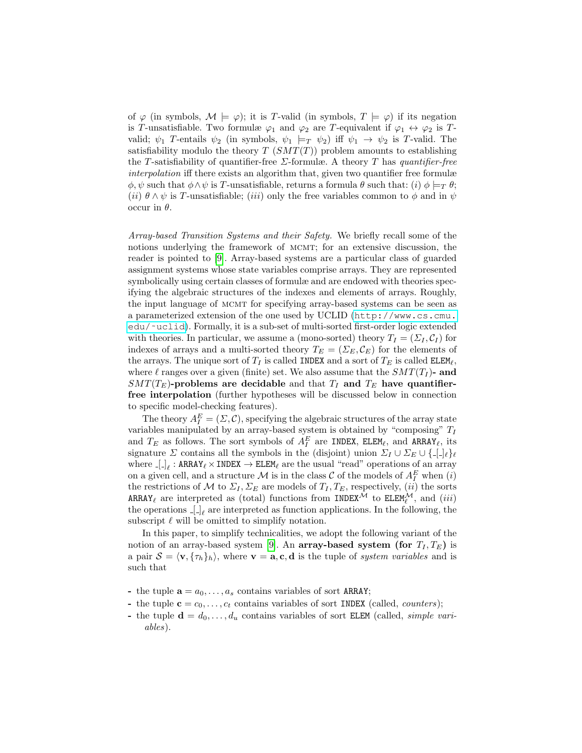of  $\varphi$  (in symbols,  $\mathcal{M} \models \varphi$ ); it is T-valid (in symbols,  $T \models \varphi$ ) if its negation is T-unsatisfiable. Two formulæ  $\varphi_1$  and  $\varphi_2$  are T-equivalent if  $\varphi_1 \leftrightarrow \varphi_2$  is Tvalid;  $\psi_1$  T-entails  $\psi_2$  (in symbols,  $\psi_1 \models_T \psi_2$ ) iff  $\psi_1 \rightarrow \psi_2$  is T-valid. The satisfiability modulo the theory  $T(SMT(T))$  problem amounts to establishing the T-satisfiability of quantifier-free  $\Sigma$ -formulæ. A theory T has quantifier-free interpolation iff there exists an algorithm that, given two quantifier free formulæ  $\phi, \psi$  such that  $\phi \wedge \psi$  is T-unsatisfiable, returns a formula  $\theta$  such that: (i)  $\phi \models_T \theta$ ; (ii)  $\theta \wedge \psi$  is T-unsatisfiable; (iii) only the free variables common to  $\phi$  and in  $\psi$ occur in θ.

Array-based Transition Systems and their Safety. We briefly recall some of the notions underlying the framework of MCMT; for an extensive discussion, the reader is pointed to [\[9\]](#page-14-6). Array-based systems are a particular class of guarded assignment systems whose state variables comprise arrays. They are represented symbolically using certain classes of formulæ and are endowed with theories specifying the algebraic structures of the indexes and elements of arrays. Roughly, the input language of mcmt for specifying array-based systems can be seen as a parameterized extension of the one used by UCLID ([http://www.cs.cmu.](http://www.cs.cmu.edu/~uclid) [edu/˜uclid](http://www.cs.cmu.edu/~uclid)). Formally, it is a sub-set of multi-sorted first-order logic extended with theories. In particular, we assume a (mono-sorted) theory  $T_I = (\Sigma_I, \mathcal{C}_I)$  for indexes of arrays and a multi-sorted theory  $T_E = (\Sigma_E, \mathcal{C}_E)$  for the elements of the arrays. The unique sort of  $T_I$  is called INDEX and a sort of  $T_E$  is called ELEM<sub> $\ell$ </sub>, where  $\ell$  ranges over a given (finite) set. We also assume that the  $SMT(T_I)$ - and  $SMT(T_E)$ -problems are decidable and that  $T_I$  and  $T_E$  have quantifierfree interpolation (further hypotheses will be discussed below in connection to specific model-checking features).

The theory  $A_I^E = (\Sigma, C)$ , specifying the algebraic structures of the array state variables manipulated by an array-based system is obtained by "composing"  $T_I$ and  $T_E$  as follows. The sort symbols of  $A_I^E$  are INDEX, ELEM<sub> $\ell$ </sub>, and ARRAY<sub> $\ell$ </sub>, its signature  $\Sigma$  contains all the symbols in the (disjoint) union  $\Sigma_I \cup \Sigma_E \cup \{\underline{\ }[\underline{\ }]\ell\}$ where  $\llbracket \_e \rbrack$ : ARRAY<sub> $\ell$ </sub>  $\times$  INDEX  $\rightarrow$  ELEM<sub> $\ell$ </sub> are the usual "read" operations of an array on a given cell, and a structure M is in the class  $C$  of the models of  $A_I^E$  when  $(i)$ the restrictions of M to  $\Sigma_I$ ,  $\Sigma_E$  are models of  $T_I, T_E$ , respectively, (*ii*) the sorts  $ARRAY_{\ell}$  are interpreted as (total) functions from INDEX<sup>M</sup> to  $ELEM_{\ell}^{M}$ , and (iii) the operations  $\Box$ <sub>l</sub> are interpreted as function applications. In the following, the subscript  $\ell$  will be omitted to simplify notation.

In this paper, to simplify technicalities, we adopt the following variant of the notion of an array-based system [\[9\]](#page-14-6). An **array-based system (for**  $T_I, T_E$ ) is a pair  $S = \langle v, {\{\tau_h\}_h}\rangle$ , where  $v = a, c, d$  is the tuple of system variables and is such that

- the tuple  $\mathbf{a} = a_0, \dots, a_s$  contains variables of sort ARRAY;
- the tuple  $\mathbf{c} = c_0, \ldots, c_t$  contains variables of sort INDEX (called, *counters*);
- the tuple  $\mathbf{d} = d_0, \ldots, d_u$  contains variables of sort ELEM (called, *simple vari*ables).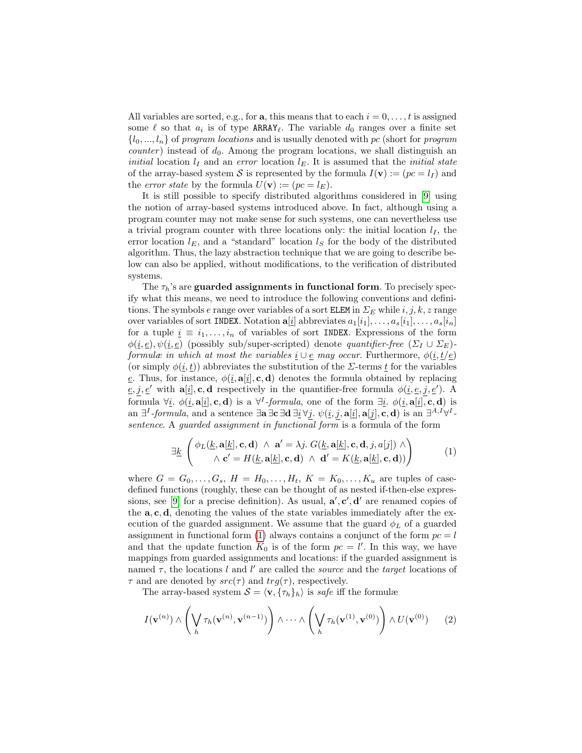All variables are sorted, e.g., for **a**, this means that to each  $i = 0, \ldots, t$  is assigned some  $\ell$  so that  $a_i$  is of type  $ARRAY_{\ell}$ . The variable  $d_0$  ranges over a finite set  ${l_0, ..., l_n}$  of program locations and is usually denoted with pc (short for program *counter*) instead of  $d_0$ . Among the program locations, we shall distinguish an initial location  $l_I$  and an error location  $l_E$ . It is assumed that the *initial state* of the array-based system S is represented by the formula  $I(\mathbf{v}) := (pc = l_I)$  and the *error state* by the formula  $U(\mathbf{v}) := (pc = l_E)$ .

It is still possible to specify distributed algorithms considered in [\[9\]](#page-14-6) using the notion of array-based systems introduced above. In fact, although using a program counter may not make sense for such systems, one can nevertheless use a trivial program counter with three locations only: the initial location  $l_I$ , the error location  $l_E$ , and a "standard" location  $l_S$  for the body of the distributed algorithm. Thus, the lazy abstraction technique that we are going to describe below can also be applied, without modifications, to the verification of distributed systems.

The  $\tau_h$ 's are guarded assignments in functional form. To precisely specify what this means, we need to introduce the following conventions and definitions. The symbols e range over variables of a sort ELEM in  $\Sigma_E$  while i, j, k, z range over variables of sort INDEX. Notation  $a[i]$  abbreviates  $a_1[i_1], \ldots, a_s[i_1], \ldots, a_s[i_n]$ for a tuple  $\underline{i} \equiv i_1, \ldots, i_n$  of variables of sort INDEX. Expressions of the form  $\phi(\underline{i}, \underline{e}), \psi(\underline{i}, \underline{e})$  (possibly sub/super-scripted) denote quantifier-free  $(\Sigma_I \cup \Sigma_E)$ formulæ in which at most the variables  $\underline{i} \cup \underline{e}$  may occur. Furthermore,  $\phi(\underline{i}, \underline{t}/\underline{e})$ (or simply  $\phi(i, t)$ ) abbreviates the substitution of the  $\Sigma$ -terms t for the variables e. Thus, for instance,  $\phi(i, \mathbf{a}[i], \mathbf{c}, \mathbf{d})$  denotes the formula obtained by replacing  $\underline{e}, j, \underline{e}'$  with  $\mathbf{a}[\underline{i}], \mathbf{c}, \mathbf{d}$  respectively in the quantifier-free formula  $\phi(\underline{i}, \underline{e}, j, \underline{e}')$ . A formula  $\forall \underline{i}$ .  $\phi(\underline{i}, \mathbf{a}[\underline{i}], \mathbf{c}, \mathbf{d})$  is a  $\forall$ <sup>T</sup>-formula, one of the form  $\exists \underline{i}$ .  $\phi(\underline{i}, \mathbf{a}[\underline{i}], \mathbf{c}, \mathbf{d})$  is an  $\exists^{I}$ -formula, and a sentence  $\exists$ **a**  $\exists$ **c**  $\exists$ **d**  $\exists$ <u>i</u>  $\forall$ <sub></sub>*j*.  $\psi$ (*i*, *j*, **a**[*i*], **a**[*j*], **c**, **d**) is an  $\exists^{A,I} \forall^{I}$ sentence. A guarded assignment in functional form is a formula of the form

<span id="page-4-0"></span>
$$
\exists \underline{k} \left( \phi_L(\underline{k}, \mathbf{a}[\underline{k}], \mathbf{c}, \mathbf{d}) \land \mathbf{a}' = \lambda j. \ G(\underline{k}, \mathbf{a}[\underline{k}], \mathbf{c}, \mathbf{d}, j, a[j]) \land \\ \land \mathbf{c}' = H(\underline{k}, \mathbf{a}[\underline{k}], \mathbf{c}, \mathbf{d}) \land \mathbf{d}' = K(\underline{k}, \mathbf{a}[\underline{k}], \mathbf{c}, \mathbf{d})) \right) \tag{1}
$$

where  $G = G_0, \ldots, G_s$ ,  $H = H_0, \ldots, H_t$ ,  $K = K_0, \ldots, K_u$  are tuples of casedefined functions (roughly, these can be thought of as nested if-then-else expres-sions, see [\[9\]](#page-14-6) for a precise definition). As usual,  $a', c', d'$  are renamed copies of the a, c, d, denoting the values of the state variables immediately after the execution of the guarded assignment. We assume that the guard  $\phi_L$  of a guarded assignment in functional form [\(1\)](#page-4-0) always contains a conjunct of the form  $pc = l$ and that the update function  $K_0$  is of the form  $pc = l'$ . In this way, we have mappings from guarded assignments and locations: if the guarded assignment is named  $\tau$ , the locations l and l' are called the *source* and the *target* locations of  $\tau$  and are denoted by  $src(\tau)$  and  $trg(\tau)$ , respectively.

The array-based system  $S = \langle v, {\{\tau_h\}_h}\rangle$  is safe iff the formulæ

<span id="page-4-1"></span>
$$
I(\mathbf{v}^{(n)}) \wedge \left(\bigvee_h \tau_h(\mathbf{v}^{(n)}, \mathbf{v}^{(n-1)})\right) \wedge \cdots \wedge \left(\bigvee_h \tau_h(\mathbf{v}^{(1)}, \mathbf{v}^{(0)})\right) \wedge U(\mathbf{v}^{(0)}) \qquad (2)
$$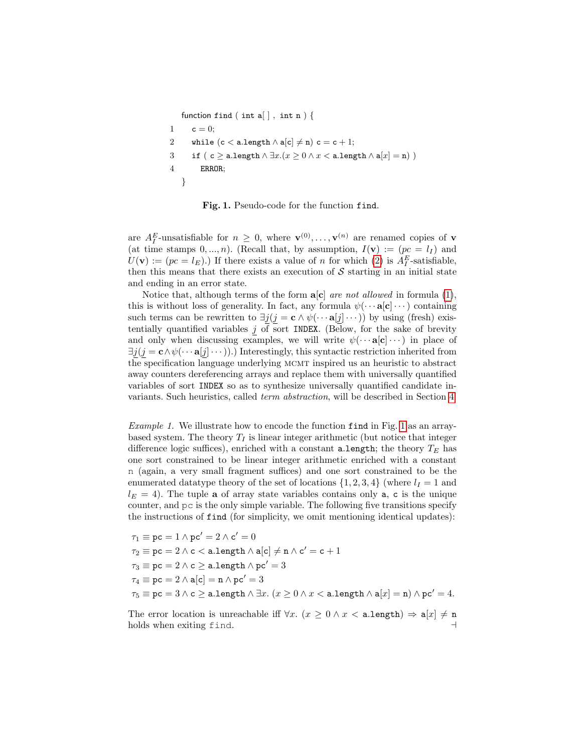```
function find (int a[], int n) {
1  c = 0;2 while (c < a.length \land a[c] \neq n) c = c + 1;
3 if ( c \geq a.length \land \exists x.(x \geq 0 \land x < a.length \land a[x] = n))
4 ERROR;
   }
```
<span id="page-5-0"></span>Fig. 1. Pseudo-code for the function find.

are  $A_I^E$ -unsatisfiable for  $n \geq 0$ , where  $\mathbf{v}^{(0)}, \ldots, \mathbf{v}^{(n)}$  are renamed copies of v (at time stamps  $0, ..., n$ ). (Recall that, by assumption,  $I(\mathbf{v}) := (pc = l_I)$  and  $U(\mathbf{v}) := (pc = l_E)$ .) If there exists a value of n for which [\(2\)](#page-4-1) is  $A_I^E$ -satisfiable, then this means that there exists an execution of  $S$  starting in an initial state and ending in an error state.

Notice that, although terms of the form  $a|c|$  *are not allowed* in formula [\(1\)](#page-4-0), this is without loss of generality. In fact, any formula  $\psi(\cdots a[c]\cdots)$  containing such terms can be rewritten to  $\exists \underline{j}(\underline{j} = \mathbf{c} \wedge \psi(\cdots \mathbf{a}[\underline{j}] \cdots))$  by using (fresh) existentially quantified variables  $j$  of sort INDEX. (Below, for the sake of brevity and only when discussing examples, we will write  $\psi(\cdots a[c] \cdots)$  in place of  $\exists j(j = \mathbf{c} \wedge \psi(\cdots \mathbf{a}[j] \cdots))$ .) Interestingly, this syntactic restriction inherited from the specification language underlying mcmt inspired us an heuristic to abstract away counters dereferencing arrays and replace them with universally quantified variables of sort INDEX so as to synthesize universally quantified candidate invariants. Such heuristics, called term abstraction, will be described in Section [4.](#page-12-0)

<span id="page-5-1"></span>Example 1. We illustrate how to encode the function find in Fig. [1](#page-5-0) as an arraybased system. The theory  $T_I$  is linear integer arithmetic (but notice that integer difference logic suffices), enriched with a constant a.length; the theory  $T_E$  has one sort constrained to be linear integer arithmetic enriched with a constant n (again, a very small fragment suffices) and one sort constrained to be the enumerated datatype theory of the set of locations  $\{1, 2, 3, 4\}$  (where  $l_1 = 1$  and  $l_E = 4$ ). The tuple **a** of array state variables contains only **a**, **c** is the unique counter, and pc is the only simple variable. The following five transitions specify the instructions of find (for simplicity, we omit mentioning identical updates):

$$
\begin{aligned} &\tau_1 \equiv \mathtt{pc} = 1 \wedge \mathtt{pc}' = 2 \wedge \mathtt{c}' = 0 \\ &\tau_2 \equiv \mathtt{pc} = 2 \wedge \mathtt{c} < \mathtt{a.length} \wedge \mathtt{a}[\mathtt{c}] \neq \mathtt{n} \wedge \mathtt{c}' = \mathtt{c} + 1 \\ &\tau_3 \equiv \mathtt{pc} = 2 \wedge \mathtt{c} \geq \mathtt{a.length} \wedge \mathtt{pc}' = 3 \\ &\tau_4 \equiv \mathtt{pc} = 2 \wedge \mathtt{a}[\mathtt{c}] = \mathtt{n} \wedge \mathtt{pc}' = 3 \\ &\tau_5 \equiv \mathtt{pc} = 3 \wedge \mathtt{c} \geq \mathtt{a.length} \wedge \exists x. \ (x \geq 0 \wedge x < \mathtt{a.length} \wedge \mathtt{a}[x] = \mathtt{n}) \wedge \mathtt{pc}' = 4. \end{aligned}
$$

The error location is unreachable iff  $\forall x.$   $(x \geq 0 \land x <$  a.length)  $\Rightarrow$  a $[x] \neq n$ holds when exiting find.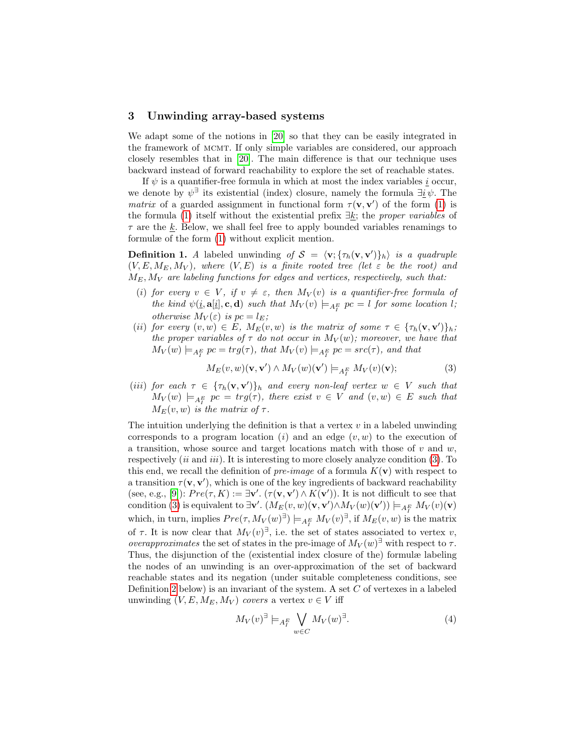### <span id="page-6-0"></span>3 Unwinding array-based systems

We adapt some of the notions in [\[20\]](#page-14-4) so that they can be easily integrated in the framework of mcmt. If only simple variables are considered, our approach closely resembles that in [\[20\]](#page-14-4). The main difference is that our technique uses backward instead of forward reachability to explore the set of reachable states.

If  $\psi$  is a quantifier-free formula in which at most the index variables  $\underline{i}$  occur, we denote by  $\psi$ <sup> $=$ </sup> its existential (index) closure, namely the formula  $\exists \underline{i} \psi$ . The *matrix* of a guarded assignment in functional form  $\tau(\mathbf{v}, \mathbf{v}')$  of the form [\(1\)](#page-4-0) is the formula [\(1\)](#page-4-0) itself without the existential prefix  $\exists k$ ; the proper variables of  $\tau$  are the k. Below, we shall feel free to apply bounded variables renamings to formulæ of the form [\(1\)](#page-4-0) without explicit mention.

<span id="page-6-2"></span>**Definition 1.** A labeled unwinding of  $S = \langle v; {\{\tau_h(v, v')\}_h}}\rangle$  is a quadruple  $(V, E, M_E, M_V)$ , where  $(V, E)$  is a finite rooted tree (let  $\varepsilon$  be the root) and  $M_E, M_V$  are labeling functions for edges and vertices, respectively, such that:

- (i) for every  $v \in V$ , if  $v \neq \varepsilon$ , then  $M_V(v)$  is a quantifier-free formula of the kind  $\psi(\underline{i}, \mathbf{a}[\underline{i}], \mathbf{c}, \mathbf{d})$  such that  $M_V(v) \models_{A_I^E} pc = l$  for some location l; otherwise  $M_V(\varepsilon)$  is  $pc = l_E$ ;
- (ii) for every  $(v, w) \in E$ ,  $M_E(v, w)$  is the matrix of some  $\tau \in {\tau_h(\mathbf{v}, \mathbf{v}')}_h$ ; the proper variables of  $\tau$  do not occur in  $M_V(w)$ ; moreover, we have that  $M_V(w) \models_{A_I^E} pc = trg(\tau)$ , that  $M_V(v) \models_{A_I^E} pc = src(\tau)$ , and that

<span id="page-6-1"></span>
$$
M_E(v, w)(\mathbf{v}, \mathbf{v}') \wedge M_V(w)(\mathbf{v}') \models_{A_I^E} M_V(v)(\mathbf{v}); \tag{3}
$$

(iii) for each  $\tau \in {\{\tau_h(\mathbf{v},\mathbf{v}^\prime)\}_h}$  and every non-leaf vertex  $w \in V$  such that  $M_V(w) \models_{A_I^E} pc = trg(\tau)$ , there exist  $v \in V$  and  $(v, w) \in E$  such that  $M_E(v, w)$  is the matrix of  $\tau$ .

The intuition underlying the definition is that a vertex  $v$  in a labeled unwinding corresponds to a program location (i) and an edge  $(v, w)$  to the execution of a transition, whose source and target locations match with those of  $v$  and  $w$ , respectively  $(ii$  and  $iii)$ . It is interesting to more closely analyze condition  $(3)$ . To this end, we recall the definition of *pre-image* of a formula  $K(\mathbf{v})$  with respect to a transition  $\tau(\mathbf{v}, \mathbf{v}')$ , which is one of the key ingredients of backward reachability (see, e.g., [\[9\]](#page-14-6)):  $Pre(\tau, K) := \exists \mathbf{v}' \cdot (\tau(\mathbf{v}, \mathbf{v}') \wedge K(\mathbf{v}'))$ . It is not difficult to see that condition [\(3\)](#page-6-1) is equivalent to  $\exists v'.\ (M_E(v, w)(v, v') \wedge M_V(w)(v')) \models_{A_I^E} M_V(v)(v)$ which, in turn, implies  $Pre(\tau, M_V(w)^{\exists}) \models_{A_I^E} M_V(v)^{\exists}$ , if  $M_E(v, w)$  is the matrix of  $\tau$ . It is now clear that  $M_V(v)^{\dagger}$ , i.e. the set of states associated to vertex v, *overapproximates* the set of states in the pre-image of  $M_V(w)$ <sup> $\exists$ </sup> with respect to  $\tau$ . Thus, the disjunction of the (existential index closure of the) formulæ labeling the nodes of an unwinding is an over-approximation of the set of backward reachable states and its negation (under suitable completeness conditions, see Definition [2](#page-7-0) below) is an invariant of the system. A set  $C$  of vertexes in a labeled unwinding  $(V, E, M_E, M_V)$  covers a vertex  $v \in V$  iff

<span id="page-6-3"></span>
$$
M_V(v)^\exists \models_{A_I^E} \bigvee_{w \in C} M_V(w)^\exists. \tag{4}
$$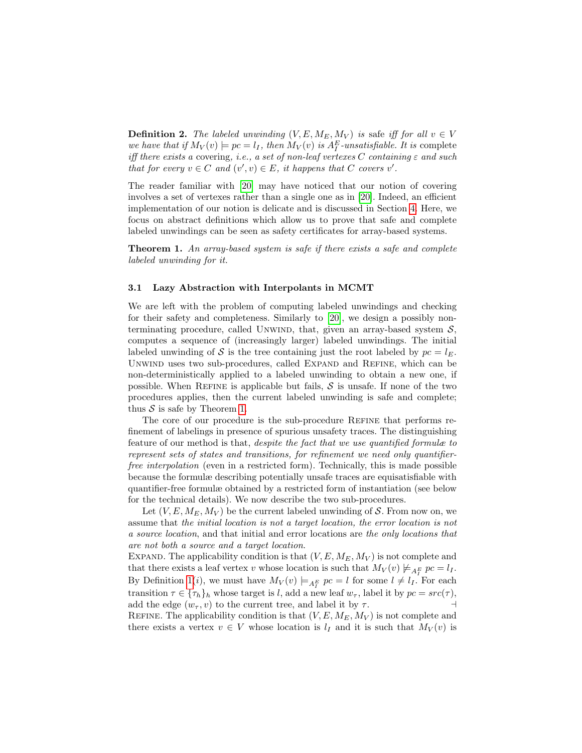<span id="page-7-0"></span>**Definition 2.** The labeled unwinding  $(V, E, M_E, M_V)$  is safe iff for all  $v \in V$ we have that if  $M_V(v) \models pc = l_I$ , then  $M_V(v)$  is  $A_I^E$ -unsatisfiable. It is complete iff there exists a covering, i.e., a set of non-leaf vertexes C containing  $\varepsilon$  and such that for every  $v \in C$  and  $(v', v) \in E$ , it happens that C covers v'.

The reader familiar with [\[20\]](#page-14-4) may have noticed that our notion of covering involves a set of vertexes rather than a single one as in [\[20\]](#page-14-4). Indeed, an efficient implementation of our notion is delicate and is discussed in Section [4.](#page-12-0) Here, we focus on abstract definitions which allow us to prove that safe and complete labeled unwindings can be seen as safety certificates for array-based systems.

<span id="page-7-1"></span>Theorem 1. An array-based system is safe if there exists a safe and complete labeled unwinding for it.

#### <span id="page-7-2"></span>3.1 Lazy Abstraction with Interpolants in MCMT

We are left with the problem of computing labeled unwindings and checking for their safety and completeness. Similarly to [\[20\]](#page-14-4), we design a possibly nonterminating procedure, called UNWIND, that, given an array-based system  $S$ , computes a sequence of (increasingly larger) labeled unwindings. The initial labeled unwinding of S is the tree containing just the root labeled by  $pc = l_E$ . UNWIND uses two sub-procedures, called EXPAND and REFINE, which can be non-deterministically applied to a labeled unwinding to obtain a new one, if possible. When REFINE is applicable but fails,  $S$  is unsafe. If none of the two procedures applies, then the current labeled unwinding is safe and complete; thus  $S$  is safe by Theorem [1.](#page-7-1)

The core of our procedure is the sub-procedure Refine that performs refinement of labelings in presence of spurious unsafety traces. The distinguishing feature of our method is that, despite the fact that we use quantified formulæ to represent sets of states and transitions, for refinement we need only quantifierfree interpolation (even in a restricted form). Technically, this is made possible because the formulæ describing potentially unsafe traces are equisatisfiable with quantifier-free formulæ obtained by a restricted form of instantiation (see below for the technical details). We now describe the two sub-procedures.

Let  $(V, E, M_E, M_V)$  be the current labeled unwinding of S. From now on, we assume that the initial location is not a target location, the error location is not a source location, and that initial and error locations are the only locations that are not both a source and a target location.

EXPAND. The applicability condition is that  $(V, E, M_E, M_V)$  is not complete and that there exists a leaf vertex v whose location is such that  $M_V(v) \not\models_{A_I^E} pc = l_I$ . By Definition [1\(](#page-6-2)*i*), we must have  $M_V(v) \models_{A_I^E} pc = l$  for some  $l \neq l_I$ . For each transition  $\tau \in {\tau_h}_h$  whose target is l, add a new leaf  $w_\tau$ , label it by  $pc = src(\tau)$ , add the edge  $(w - v)$  to the current tree, and label it by  $\tau \to$ add the edge  $(w_\tau, v)$  to the current tree, and label it by  $\tau$ .

REFINE. The applicability condition is that  $(V, E, M_E, M_V)$  is not complete and there exists a vertex  $v \in V$  whose location is  $l_I$  and it is such that  $M_V(v)$  is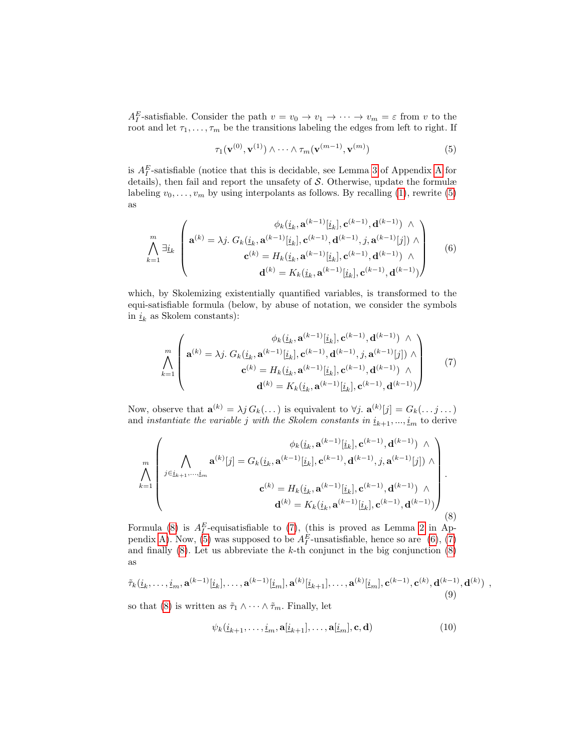$A_I^E$ -satisfiable. Consider the path  $v = v_0 \rightarrow v_1 \rightarrow \cdots \rightarrow v_m = \varepsilon$  from v to the root and let  $\tau_1, \ldots, \tau_m$  be the transitions labeling the edges from left to right. If

<span id="page-8-0"></span>
$$
\tau_1(\mathbf{v}^{(0)}, \mathbf{v}^{(1)}) \wedge \dots \wedge \tau_m(\mathbf{v}^{(m-1)}, \mathbf{v}^{(m)})
$$
\n(5)

is  $A_I^E$ -satisfiable (notice that this is decidable, see Lemma [3](#page-18-0) of [A](#page-16-0)ppendix A for details), then fail and report the unsafety of  $S$ . Otherwise, update the formulæ labeling  $v_0, \ldots, v_m$  by using interpolants as follows. By recalling [\(1\)](#page-4-0), rewrite [\(5\)](#page-8-0) as

<span id="page-8-3"></span>
$$
\bigwedge_{k=1}^{m} \exists \underline{i}_{k} \left( \mathbf{a}^{(k)} = \lambda j. \ G_{k}(\underline{i}_{k}, \mathbf{a}^{(k-1)}[\underline{i}_{k}], \mathbf{c}^{(k-1)}, \mathbf{d}^{(k-1)}, \lambda) \right) \n\left( \begin{array}{c} \phi_{k}(\underline{i}_{k}, \mathbf{a}^{(k-1)}[\underline{i}_{k}], \mathbf{c}^{(k-1)}, \mathbf{d}^{(k-1)}, j, \mathbf{a}^{(k-1)}[\underline{j}]) \wedge \\ \mathbf{c}^{(k)} = H_{k}(\underline{i}_{k}, \mathbf{a}^{(k-1)}[\underline{i}_{k}], \mathbf{c}^{(k-1)}, \mathbf{d}^{(k-1)}) \wedge \\ \mathbf{d}^{(k)} = K_{k}(\underline{i}_{k}, \mathbf{a}^{(k-1)}[\underline{i}_{k}], \mathbf{c}^{(k-1)}, \mathbf{d}^{(k-1)}) \end{array} \right) \tag{6}
$$

which, by Skolemizing existentially quantified variables, is transformed to the equi-satisfiable formula (below, by abuse of notation, we consider the symbols in  $\underline{i}_k$  as Skolem constants):

<span id="page-8-2"></span>
$$
\bigwedge_{k=1}^{m} \left( \mathbf{a}^{(k)} = \lambda j. \ G_k(\underline{i}_k, \mathbf{a}^{(k-1)}[\underline{i}_k], \mathbf{c}^{(k-1)}, \mathbf{d}^{(k-1)}, \mathbf{d}^{(k-1)}) \wedge \\ \mathbf{c}^{(k)} = H_k(\underline{i}_k, \mathbf{a}^{(k-1)}[\underline{i}_k], \mathbf{c}^{(k-1)}, \mathbf{d}^{(k-1)}, \mathbf{d}^{(k-1)}]) \wedge \\ \mathbf{d}^{(k)} = K_k(\underline{i}_k, \mathbf{a}^{(k-1)}[\underline{i}_k], \mathbf{c}^{(k-1)}, \mathbf{d}^{(k-1)}) \right) \tag{7}
$$

Now, observe that  $\mathbf{a}^{(k)} = \lambda j G_k(\dots)$  is equivalent to  $\forall j$ .  $\mathbf{a}^{(k)}[j] = G_k(\dots j \dots)$ and instantiate the variable j with the Skolem constants in  $i_k$ , ...,  $i_m$  to derive

<span id="page-8-1"></span>
$$
\bigwedge_{k=1}^{m} \left( \bigwedge_{j \in \underline{i}_{k+1}, \dots, \underline{i}_{m}} \mathbf{a}^{(k)}[j] = G_{k}(\underline{i}_{k}, \mathbf{a}^{(k-1)}[\underline{i}_{k}], \mathbf{c}^{(k-1)}, \mathbf{d}^{(k-1)}, j, \mathbf{a}^{(k-1)}[j]) \land \mathbf{c}^{(k)} = H_{k}(\underline{i}_{k}, \mathbf{a}^{(k-1)}[\underline{i}_{k}], \mathbf{c}^{(k-1)}, \mathbf{d}^{(k-1)}[j]) \land \mathbf{d}^{(k)} = K_{k}(\underline{i}_{k}, \mathbf{a}^{(k-1)}[\underline{i}_{k}], \mathbf{c}^{(k-1)}, \mathbf{d}^{(k-1)})
$$
\n(8)

Formula [\(8\)](#page-8-1) is  $A_I^E$ -equisatisfiable to [\(7\)](#page-8-2), (this is proved as Lemma [2](#page-17-0) in Ap-pendix [A\)](#page-16-0). Now, [\(5\)](#page-8-0) was supposed to be  $A_I^E$ -unsatisfiable, hence so are [\(6\)](#page-8-3), [\(7\)](#page-8-2) and finally  $(8)$ . Let us abbreviate the k-th conjunct in the big conjunction  $(8)$ as

<span id="page-8-4"></span>
$$
\tilde{\tau}_k(\underline{i}_k,\ldots,\underline{i}_m,\mathbf{a}^{(k-1)}[\underline{i}_k],\ldots,\mathbf{a}^{(k-1)}[\underline{i}_m],\mathbf{a}^{(k)}[\underline{i}_{k+1}],\ldots,\mathbf{a}^{(k)}[\underline{i}_m],\mathbf{c}^{(k-1)},\mathbf{c}^{(k)},\mathbf{d}^{(k-1)},\mathbf{d}^{(k)})\enspace(9)
$$

so that [\(8\)](#page-8-1) is written as  $\tilde{\tau}_1 \wedge \cdots \wedge \tilde{\tau}_m$ . Finally, let

<span id="page-8-5"></span>
$$
\psi_k(\underline{i}_{k+1},\ldots,\underline{i}_m,\mathbf{a}[\underline{i}_{k+1}],\ldots,\mathbf{a}[\underline{i}_m],\mathbf{c},\mathbf{d})\tag{10}
$$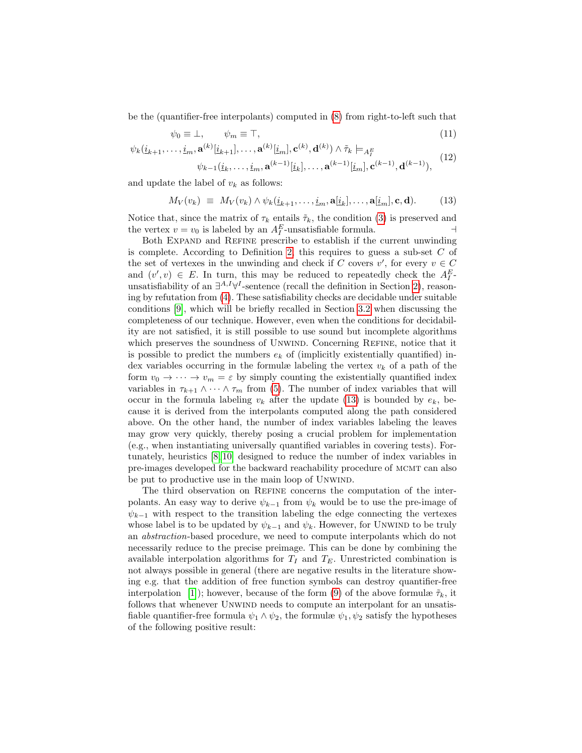be the (quantifier-free interpolants) computed in [\(8\)](#page-8-1) from right-to-left such that

<span id="page-9-1"></span>
$$
\psi_0 \equiv \bot, \qquad \psi_m \equiv \top,\tag{11}
$$

$$
\psi_k(\underline{i}_{k+1},\ldots,\underline{i}_m,\mathbf{a}^{(k)}[\underline{i}_{k+1}],\ldots,\mathbf{a}^{(k)}[\underline{i}_m],\mathbf{c}^{(k)},\mathbf{d}^{(k)})\wedge\tilde{\tau}_k\models_{A_I^E}
$$
\n
$$
\vdots
$$
\n
$$
\vdots
$$
\n
$$
\vdots
$$
\n
$$
\vdots
$$
\n
$$
\vdots
$$
\n
$$
\vdots
$$
\n
$$
\vdots
$$
\n
$$
\vdots
$$
\n
$$
\vdots
$$
\n
$$
\vdots
$$
\n
$$
\vdots
$$
\n
$$
\vdots
$$
\n
$$
\vdots
$$
\n
$$
\vdots
$$
\n
$$
\vdots
$$
\n
$$
\vdots
$$
\n
$$
\vdots
$$
\n
$$
\vdots
$$
\n
$$
\vdots
$$
\n
$$
\vdots
$$
\n
$$
\vdots
$$
\n
$$
\vdots
$$
\n
$$
\vdots
$$
\n
$$
\vdots
$$
\n
$$
\vdots
$$
\n
$$
\vdots
$$
\n
$$
\vdots
$$
\n
$$
\vdots
$$
\n
$$
\vdots
$$
\n
$$
\vdots
$$
\n
$$
\vdots
$$
\n
$$
\vdots
$$
\n
$$
\vdots
$$
\n
$$
\vdots
$$
\n
$$
\vdots
$$
\n
$$
\vdots
$$
\n
$$
\vdots
$$
\n
$$
\vdots
$$
\n
$$
\vdots
$$
\n
$$
\vdots
$$
\n
$$
\vdots
$$
\n
$$
\vdots
$$
\n
$$
\vdots
$$
\n
$$
\vdots
$$
\n
$$
\vdots
$$
\n
$$
\vdots
$$
\n
$$
\vdots
$$
\n
$$
\vdots
$$
\n
$$
\vdots
$$
\n
$$
\vdots
$$
\n
$$
\vdots
$$
\n
$$
\vdots
$$
\n
$$
\vdots
$$
\n
$$
\vdots
$$
\n
$$
\vdots
$$
\n<math display="</math>

$$
\psi_{k-1}(\underline{i}_k,\ldots,\underline{i}_m,\mathbf{a}^{(k-1)}[\underline{i}_k],\ldots,\mathbf{a}^{(k-1)}[\underline{i}_m],\mathbf{c}^{(k-1)},\mathbf{d}^{(k-1)}),
$$

and update the label of  $v_k$  as follows:

<span id="page-9-0"></span>
$$
M_V(v_k) \equiv M_V(v_k) \wedge \psi_k(\underline{i}_{k+1}, \dots, \underline{i}_m, \mathbf{a}[\underline{i}_k], \dots, \mathbf{a}[\underline{i}_m], \mathbf{c}, \mathbf{d}). \tag{13}
$$

Notice that, since the matrix of  $\tau_k$  entails  $\tilde{\tau}_k$ , the condition [\(3\)](#page-6-1) is preserved and the vertex  $v = v_0$  is labeled by an  $A_I^E$ -unsatisfiable formula.

Both Expand and Refine prescribe to establish if the current unwinding is complete. According to Definition [2,](#page-7-0) this requires to guess a sub-set  $C$  of the set of vertexes in the unwinding and check if C covers  $v'$ , for every  $v \in C$ and  $(v', v) \in E$ . In turn, this may be reduced to repeatedly check the  $A_I^E$ . unsatisfiability of an  $\exists^{A,I}\forall^{I}$ -sentence (recall the definition in Section [2\)](#page-2-0), reasoning by refutation from [\(4\)](#page-6-3). These satisfiability checks are decidable under suitable conditions [\[9\]](#page-14-6), which will be briefly recalled in Section [3.2](#page-11-0) when discussing the completeness of our technique. However, even when the conditions for decidability are not satisfied, it is still possible to use sound but incomplete algorithms which preserves the soundness of UNWIND. Concerning REFINE, notice that it is possible to predict the numbers  $e_k$  of (implicitly existentially quantified) index variables occurring in the formulæ labeling the vertex  $v_k$  of a path of the form  $v_0 \to \cdots \to v_m = \varepsilon$  by simply counting the existentially quantified index variables in  $\tau_{k+1} \wedge \cdots \wedge \tau_m$  from [\(5\)](#page-8-0). The number of index variables that will occur in the formula labeling  $v_k$  after the update [\(13\)](#page-9-0) is bounded by  $e_k$ , because it is derived from the interpolants computed along the path considered above. On the other hand, the number of index variables labeling the leaves may grow very quickly, thereby posing a crucial problem for implementation (e.g., when instantiating universally quantified variables in covering tests). Fortunately, heuristics [\[8,](#page-14-18) [10\]](#page-14-7) designed to reduce the number of index variables in pre-images developed for the backward reachability procedure of mcmt can also be put to productive use in the main loop of UNWIND.

<span id="page-9-2"></span>The third observation on Refine concerns the computation of the interpolants. An easy way to derive  $\psi_{k-1}$  from  $\psi_k$  would be to use the pre-image of  $\psi_{k-1}$  with respect to the transition labeling the edge connecting the vertexes whose label is to be updated by  $\psi_{k-1}$  and  $\psi_k$ . However, for UNWIND to be truly an abstraction-based procedure, we need to compute interpolants which do not necessarily reduce to the precise preimage. This can be done by combining the available interpolation algorithms for  $T_I$  and  $T_E$ . Unrestricted combination is not always possible in general (there are negative results in the literature showing e.g. that the addition of free function symbols can destroy quantifier-free interpolation [\[1\]](#page-14-19)); however, because of the form [\(9\)](#page-8-4) of the above formulæ  $\tilde{\tau}_k$ , it follows that whenever Unwind needs to compute an interpolant for an unsatisfiable quantifier-free formula  $\psi_1 \wedge \psi_2$ , the formulæ  $\psi_1, \psi_2$  satisfy the hypotheses of the following positive result: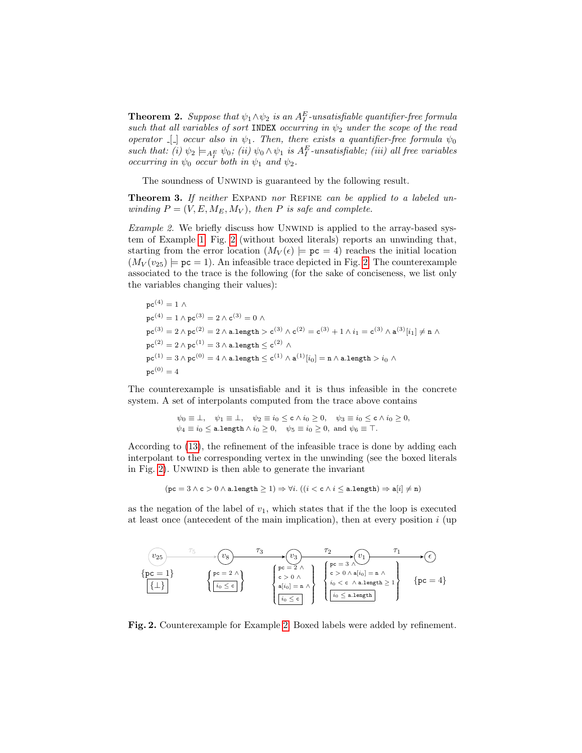**Theorem 2.** Suppose that  $\psi_1 \wedge \psi_2$  is an  $A_I^E$ -unsatisfiable quantifier-free formula such that all variables of sort INDEX occurring in  $\psi_2$  under the scope of the read operator  $\Box$  occur also in  $\psi_1$ . Then, there exists a quantifier-free formula  $\psi_0$ such that: (i)  $\psi_2 \models_{A_I^E} \psi_0$ ; (ii)  $\psi_0 \wedge \psi_1$  is  $A_I^E$ -unsatisfiable; (iii) all free variables occurring in  $\psi_0$  occur both in  $\psi_1$  and  $\psi_2$ .

<span id="page-10-2"></span>The soundness of UNWIND is guaranteed by the following result.

Theorem 3. If neither EXPAND nor REFINE can be applied to a labeled unwinding  $P = (V, E, M_E, M_V)$ , then P is safe and complete.

<span id="page-10-1"></span>Example 2. We briefly discuss how UNWIND is applied to the array-based system of Example [1.](#page-5-1) Fig. [2](#page-10-0) (without boxed literals) reports an unwinding that, starting from the error location  $(M_V(\epsilon) \models pc = 4)$  reaches the initial location  $(M_V(v_{25}) \models pc = 1)$ . An infeasible trace depicted in Fig. [2.](#page-10-0) The counterexample associated to the trace is the following (for the sake of conciseness, we list only the variables changing their values):

 $\mathsf{pc}^{(4)}=1$   $\wedge$  ${\rm pc}^{(4)}=1\wedge{\rm pc}^{(3)}=2\wedge{\rm c}^{(3)}=0\;\wedge$  $\mathtt{pc}^{(3)} = 2 \land \mathtt{pc}^{(2)} = 2 \land \mathtt{a.length} > \mathtt{c}^{(3)} \land \mathtt{c}^{(2)} = \mathtt{c}^{(3)} + 1 \land i_1 = \mathtt{c}^{(3)} \land \mathtt{a}^{(3)}[i_1] \neq \mathtt{n}~ \land$  ${\rm pc}^{(2)} = 2 \wedge {\rm pc}^{(1)} = 3 \wedge {\tt a.length} \leq {\sf c}^{(2)} \wedge {\sf c}^{(3)}$  $\mathtt{pc}^{(1)} = 3 \land \mathtt{pc}^{(0)} = 4 \land \mathtt{a.length} \leq \mathtt{c}^{(1)} \land \mathtt{a}^{(1)}[i_0] = \mathtt{n} \land \mathtt{a.length} > i_0 \, \land$  $pc^{(0)} = 4$ 

The counterexample is unsatisfiable and it is thus infeasible in the concrete system. A set of interpolants computed from the trace above contains

$$
\psi_0 \equiv \bot, \quad \psi_1 \equiv \bot, \quad \psi_2 \equiv i_0 \leq \mathtt{c} \wedge i_0 \geq 0, \quad \psi_3 \equiv i_0 \leq \mathtt{c} \wedge i_0 \geq 0, \psi_4 \equiv i_0 \leq \mathtt{a.length} \wedge i_0 \geq 0, \quad \psi_5 \equiv i_0 \geq 0, \text{ and } \psi_6 \equiv \top.
$$

According to [\(13\)](#page-9-0), the refinement of the infeasible trace is done by adding each interpolant to the corresponding vertex in the unwinding (see the boxed literals in Fig. [2\)](#page-10-0). Unwind is then able to generate the invariant

 $(pc = 3 \land c > 0 \land a.length \ge 1) \Rightarrow \forall i. ((i < c \land i \le a.length) \Rightarrow a[i] \ne n)$ 

as the negation of the label of  $v_1$ , which states that if the the loop is executed at least once (antecedent of the main implication), then at every position  $i$  (up



<span id="page-10-0"></span>Fig. 2. Counterexample for Example [2.](#page-10-1) Boxed labels were added by refinement.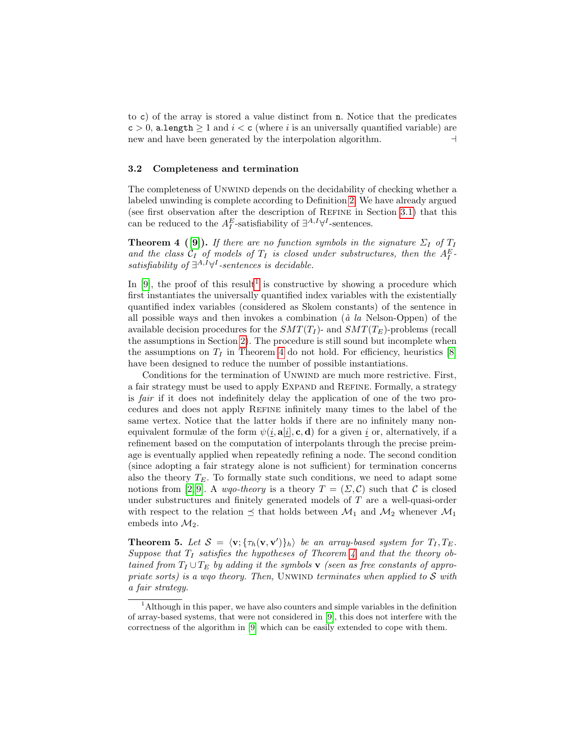to c) of the array is stored a value distinct from n. Notice that the predicates c > 0, a.1ength  $\geq 1$  and  $i < c$  (where i is an universally quantified variable) are new and have been generated by the interpolation algorithm. new and have been generated by the interpolation algorithm.

#### <span id="page-11-0"></span>3.2 Completeness and termination

The completeness of Unwind depends on the decidability of checking whether a labeled unwinding is complete according to Definition [2.](#page-7-0) We have already argued (see first observation after the description of Refine in Section [3.1\)](#page-7-2) that this can be reduced to the  $A_I^E$ -satisfiability of  $\exists^{A,I} \forall^I$ -sentences.

<span id="page-11-2"></span>**Theorem 4 ([\[9\]](#page-14-6)).** If there are no function symbols in the signature  $\Sigma_I$  of  $T_I$ and the class  $C_I$  of models of  $T_I$  is closed under substructures, then the  $A_I^E$ . satisfiability of  $\exists^{A,I} \forall^I$ -sentences is decidable.

In  $[9]$ , the proof of this result<sup>[1](#page-11-1)</sup> is constructive by showing a procedure which first instantiates the universally quantified index variables with the existentially quantified index variables (considered as Skolem constants) of the sentence in all possible ways and then invokes a combination  $(\dot{a} \, la \, Nelson-Open)$  of the available decision procedures for the  $SMT(T_I)$ - and  $SMT(T_E)$ -problems (recall the assumptions in Section [2\)](#page-2-0). The procedure is still sound but incomplete when the assumptions on  $T_I$  in Theorem [4](#page-11-2) do not hold. For efficiency, heuristics [\[8\]](#page-14-18) have been designed to reduce the number of possible instantiations.

Conditions for the termination of UNWIND are much more restrictive. First, a fair strategy must be used to apply EXPAND and REFINE. Formally, a strategy is fair if it does not indefinitely delay the application of one of the two procedures and does not apply Refine infinitely many times to the label of the same vertex. Notice that the latter holds if there are no infinitely many nonequivalent formulæ of the form  $\psi(i, \mathbf{a}[i], \mathbf{c}, \mathbf{d})$  for a given i or, alternatively, if a refinement based on the computation of interpolants through the precise preimage is eventually applied when repeatedly refining a node. The second condition (since adopting a fair strategy alone is not sufficient) for termination concerns also the theory  $T_E$ . To formally state such conditions, we need to adapt some notions from [\[2,](#page-14-20)9]. A *wqo-theory* is a theory  $T = (\Sigma, C)$  such that C is closed under substructures and finitely generated models of T are a well-quasi-order with respect to the relation  $\preceq$  that holds between  $\mathcal{M}_1$  and  $\mathcal{M}_2$  whenever  $\mathcal{M}_1$ embeds into  $\mathcal{M}_2$ .

<span id="page-11-3"></span>**Theorem 5.** Let  $S = \langle v; {\{\tau_h(v, v')\}_h}}\rangle$  be an array-based system for  $T_I, T_E$ . Suppose that  $T_I$  satisfies the hypotheses of Theorem [4](#page-11-2) and that the theory obtained from  $T_I \cup T_E$  by adding it the symbols **v** (seen as free constants of appropriate sorts) is a wgo theory. Then, UNWIND terminates when applied to  $S$  with a fair strategy.

<span id="page-11-1"></span><sup>1</sup>Although in this paper, we have also counters and simple variables in the definition of array-based systems, that were not considered in [\[9\]](#page-14-6), this does not interfere with the correctness of the algorithm in [\[9\]](#page-14-6) which can be easily extended to cope with them.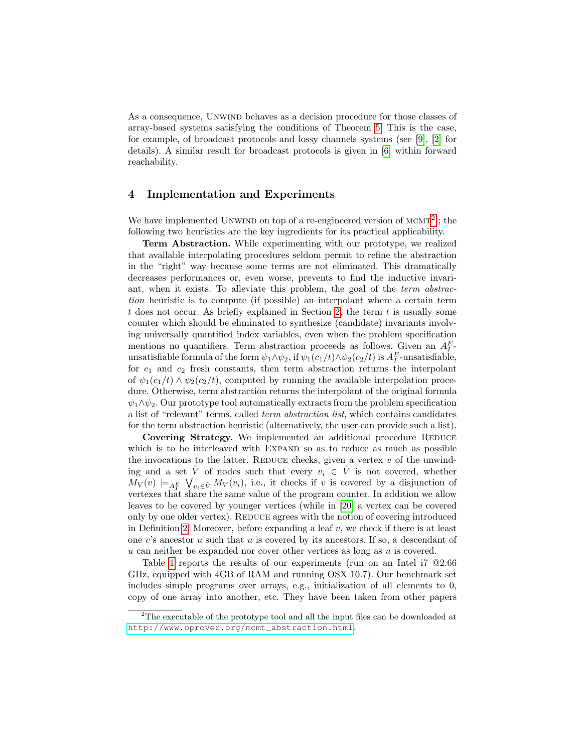As a consequence, Unwind behaves as a decision procedure for those classes of array-based systems satisfying the conditions of Theorem [5.](#page-11-3) This is the case, for example, of broadcast protocols and lossy channels systems (see [\[9\]](#page-14-6), [\[2\]](#page-14-20) for details). A similar result for broadcast protocols is given in [\[6\]](#page-14-16) within forward reachability.

### <span id="page-12-0"></span>4 Implementation and Experiments

We have implemented UNWIND on top of a re-engineered version of  $MCMT<sup>2</sup>$  $MCMT<sup>2</sup>$  $MCMT<sup>2</sup>$ ; the following two heuristics are the key ingredients for its practical applicability.

Term Abstraction. While experimenting with our prototype, we realized that available interpolating procedures seldom permit to refine the abstraction in the "right" way because some terms are not eliminated. This dramatically decreases performances or, even worse, prevents to find the inductive invariant, when it exists. To alleviate this problem, the goal of the term abstraction heuristic is to compute (if possible) an interpolant where a certain term  $t$  does not occur. As briefly explained in Section [2,](#page-2-0) the term  $t$  is usually some counter which should be eliminated to synthesize (candidate) invariants involving universally quantified index variables, even when the problem specification mentions no quantifiers. Term abstraction proceeds as follows. Given an  $A_I^E$ . unsatisfiable formula of the form  $\psi_1 \wedge \psi_2$ , if  $\psi_1(c_1/t) \wedge \psi_2(c_2/t)$  is  $A_I^E$ -unsatisfiable, for  $c_1$  and  $c_2$  fresh constants, then term abstraction returns the interpolant of  $\psi_1(c_1/t) \wedge \psi_2(c_2/t)$ , computed by running the available interpolation procedure. Otherwise, term abstraction returns the interpolant of the original formula  $\psi_1 \wedge \psi_2$ . Our prototype tool automatically extracts from the problem specification a list of "relevant" terms, called term abstraction list, which contains candidates for the term abstraction heuristic (alternatively, the user can provide such a list).

Covering Strategy. We implemented an additional procedure REDUCE which is to be interleaved with EXPAND so as to reduce as much as possible the invocations to the latter. REDUCE checks, given a vertex  $v$  of the unwinding and a set  $\tilde{V}$  of nodes such that every  $v_i \in \tilde{V}$  is not covered, whether  $M_V(v) \models_{A_I^E} \bigvee_{v_i \in \tilde{V}} M_V(v_i)$ , i.e., it checks if v is covered by a disjunction of vertexes that share the same value of the program counter. In addition we allow leaves to be covered by younger vertices (while in [\[20\]](#page-14-4) a vertex can be covered only by one older vertex). REDUCE agrees with the notion of covering introduced in Definition [2.](#page-7-0) Moreover, before expanding a leaf  $v$ , we check if there is at least one v's ancestor u such that u is covered by its ancestors. If so, a descendant of u can neither be expanded nor cover other vertices as long as  $u$  is covered.

Table [1](#page-13-1) reports the results of our experiments (run on an Intel i7 @2.66 GHz, equipped with 4GB of RAM and running OSX 10.7). Our benchmark set includes simple programs over arrays, e.g., initialization of all elements to 0, copy of one array into another, etc. They have been taken from other papers

<span id="page-12-1"></span> $2$ The executable of the prototype tool and all the input files can be downloaded at [http://www.oprover.org/mcmt\\_abstraction.html](http://www.oprover.org/mcmt_abstraction.html).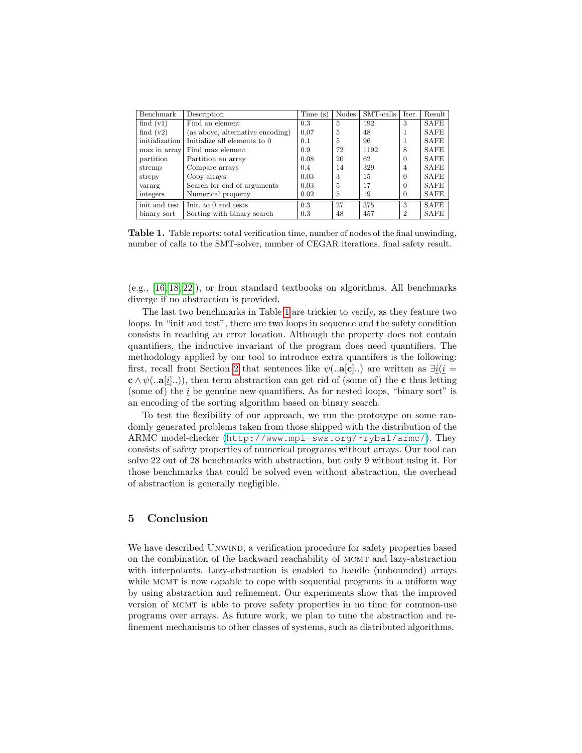| Benchmark      | Description                      | Time(s) | Nodes          | SMT-calls | Iter.          | Result      |
|----------------|----------------------------------|---------|----------------|-----------|----------------|-------------|
| find $(v1)$    | Find an element                  | 0.3     | $\overline{5}$ | 192       | 3              | <b>SAFE</b> |
| find $(v2)$    | (as above, alternative encoding) | 0.07    | 5              | 48        |                | <b>SAFE</b> |
| initialization | Initialize all elements to 0     | 0.1     | $\overline{5}$ | 96        |                | <b>SAFE</b> |
| max in array   | Find max element                 | 0.9     | 72             | 1192      | 8              | <b>SAFE</b> |
| partition      | Partition an array               | 0.08    | 20             | 62        | $\Omega$       | <b>SAFE</b> |
| strcmp         | Compare arrays                   | 0.4     | 14             | 329       | 4              | <b>SAFE</b> |
| strcpy         | Copy arrays                      | 0.03    | 3              | 15        | $\Omega$       | <b>SAFE</b> |
| vararg         | Search for end of arguments      | 0.03    | 5              | 17        | $\Omega$       | <b>SAFE</b> |
| integers       | Numerical property               | 0.02    | 5              | 19        | $\Omega$       | SAFE        |
| init and test  | Init. to 0 and tests             | 0.3     | 27             | 375       | 3              | <b>SAFE</b> |
| binary sort    | Sorting with binary search.      | 0.3     | 48             | 457       | $\overline{2}$ | <b>SAFE</b> |

<span id="page-13-1"></span>Table 1. Table reports: total verification time, number of nodes of the final unwinding, number of calls to the SMT-solver, number of CEGAR iterations, final safety result.

(e.g., [\[16,](#page-14-9) [18,](#page-14-14) [22\]](#page-15-2)), or from standard textbooks on algorithms. All benchmarks diverge if no abstraction is provided.

The last two benchmarks in Table [1](#page-13-1) are trickier to verify, as they feature two loops. In "init and test", there are two loops in sequence and the safety condition consists in reaching an error location. Although the property does not contain quantifiers, the inductive invariant of the program does need quantifiers. The methodology applied by our tool to introduce extra quantifers is the following: first, recall from Section [2](#page-2-0) that sentences like  $\psi$ (..a[c]..) are written as  $\exists i (i =$  $c \wedge \psi(.a[i]..)$ , then term abstraction can get rid of (some of) the c thus letting (some of) the  $i$  be genuine new quantifiers. As for nested loops, "binary sort" is an encoding of the sorting algorithm based on binary search.

To test the flexibility of our approach, we run the prototype on some randomly generated problems taken from those shipped with the distribution of the ARMC model-checker ([http://www.mpi-sws.org/˜rybal/armc/](http://www.mpi-sws.org/~rybal/armc/)). They consists of safety properties of numerical programs without arrays. Our tool can solve 22 out of 28 benchmarks with abstraction, but only 9 without using it. For those benchmarks that could be solved even without abstraction, the overhead of abstraction is generally negligible.

### <span id="page-13-0"></span>5 Conclusion

We have described UNWIND, a verification procedure for safety properties based on the combination of the backward reachability of mcmt and lazy-abstraction with interpolants. Lazy-abstraction is enabled to handle (unbounded) arrays while MCMT is now capable to cope with sequential programs in a uniform way by using abstraction and refinement. Our experiments show that the improved version of mcmt is able to prove safety properties in no time for common-use programs over arrays. As future work, we plan to tune the abstraction and refinement mechanisms to other classes of systems, such as distributed algorithms.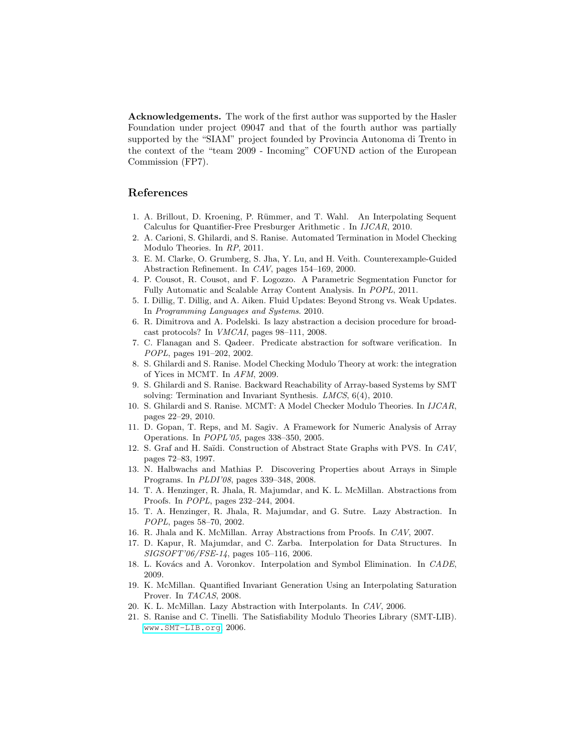Acknowledgements. The work of the first author was supported by the Hasler Foundation under project 09047 and that of the fourth author was partially supported by the "SIAM" project founded by Provincia Autonoma di Trento in the context of the "team 2009 - Incoming" COFUND action of the European Commission (FP7).

### References

- <span id="page-14-19"></span>1. A. Brillout, D. Kroening, P. Rümmer, and T. Wahl. An Interpolating Sequent Calculus for Quantifier-Free Presburger Arithmetic . In IJCAR, 2010.
- <span id="page-14-20"></span>2. A. Carioni, S. Ghilardi, and S. Ranise. Automated Termination in Model Checking Modulo Theories. In RP, 2011.
- <span id="page-14-1"></span>3. E. M. Clarke, O. Grumberg, S. Jha, Y. Lu, and H. Veith. Counterexample-Guided Abstraction Refinement. In CAV, pages 154–169, 2000.
- <span id="page-14-10"></span>4. P. Cousot, R. Cousot, and F. Logozzo. A Parametric Segmentation Functor for Fully Automatic and Scalable Array Content Analysis. In POPL, 2011.
- <span id="page-14-11"></span>5. I. Dillig, T. Dillig, and A. Aiken. Fluid Updates: Beyond Strong vs. Weak Updates. In Programming Languages and Systems. 2010.
- <span id="page-14-16"></span>6. R. Dimitrova and A. Podelski. Is lazy abstraction a decision procedure for broadcast protocols? In VMCAI, pages 98–111, 2008.
- <span id="page-14-8"></span>7. C. Flanagan and S. Qadeer. Predicate abstraction for software verification. In POPL, pages 191–202, 2002.
- <span id="page-14-18"></span>8. S. Ghilardi and S. Ranise. Model Checking Modulo Theory at work: the integration of Yices in MCMT. In AFM, 2009.
- <span id="page-14-6"></span>9. S. Ghilardi and S. Ranise. Backward Reachability of Array-based Systems by SMT solving: Termination and Invariant Synthesis. LMCS, 6(4), 2010.
- <span id="page-14-7"></span>10. S. Ghilardi and S. Ranise. MCMT: A Model Checker Modulo Theories. In IJCAR, pages 22–29, 2010.
- <span id="page-14-12"></span>11. D. Gopan, T. Reps, and M. Sagiv. A Framework for Numeric Analysis of Array Operations. In POPL'05, pages 338–350, 2005.
- <span id="page-14-0"></span>12. S. Graf and H. Saïdi. Construction of Abstract State Graphs with PVS. In CAV, pages 72–83, 1997.
- <span id="page-14-13"></span>13. N. Halbwachs and Mathias P. Discovering Properties about Arrays in Simple Programs. In PLDI'08, pages 339–348, 2008.
- <span id="page-14-3"></span>14. T. A. Henzinger, R. Jhala, R. Majumdar, and K. L. McMillan. Abstractions from Proofs. In POPL, pages 232–244, 2004.
- <span id="page-14-2"></span>15. T. A. Henzinger, R. Jhala, R. Majumdar, and G. Sutre. Lazy Abstraction. In POPL, pages 58–70, 2002.
- <span id="page-14-9"></span>16. R. Jhala and K. McMillan. Array Abstractions from Proofs. In CAV, 2007.
- <span id="page-14-5"></span>17. D. Kapur, R. Majumdar, and C. Zarba. Interpolation for Data Structures. In SIGSOFT'06/FSE-14, pages 105–116, 2006.
- <span id="page-14-14"></span>18. L. Kovács and A. Voronkov. Interpolation and Symbol Elimination. In CADE, 2009.
- <span id="page-14-15"></span>19. K. McMillan. Quantified Invariant Generation Using an Interpolating Saturation Prover. In TACAS, 2008.
- <span id="page-14-4"></span>20. K. L. McMillan. Lazy Abstraction with Interpolants. In CAV, 2006.
- <span id="page-14-17"></span>21. S. Ranise and C. Tinelli. The Satisfiability Modulo Theories Library (SMT-LIB). [www.SMT-LIB.org](http://www.smt-lib.org), 2006.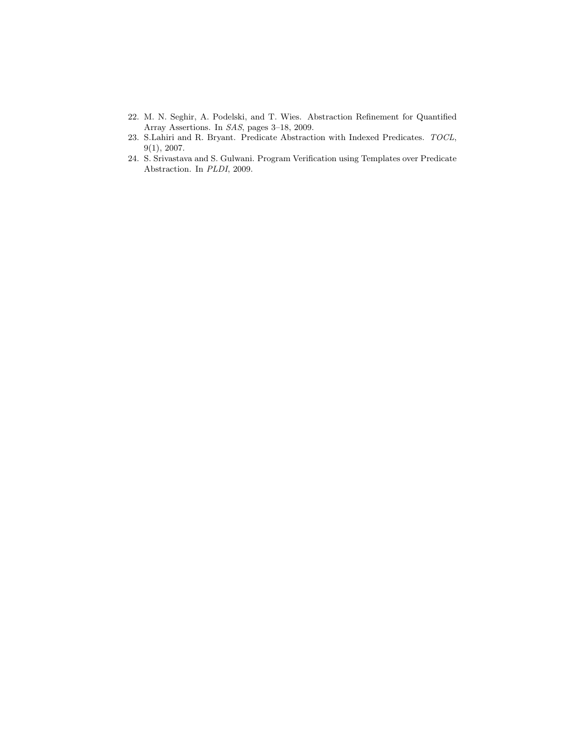- <span id="page-15-2"></span>22. M. N. Seghir, A. Podelski, and T. Wies. Abstraction Refinement for Quantified Array Assertions. In SAS, pages 3–18, 2009.
- <span id="page-15-0"></span>23. S.Lahiri and R. Bryant. Predicate Abstraction with Indexed Predicates. TOCL, 9(1), 2007.
- <span id="page-15-1"></span>24. S. Srivastava and S. Gulwani. Program Verification using Templates over Predicate Abstraction. In PLDI, 2009.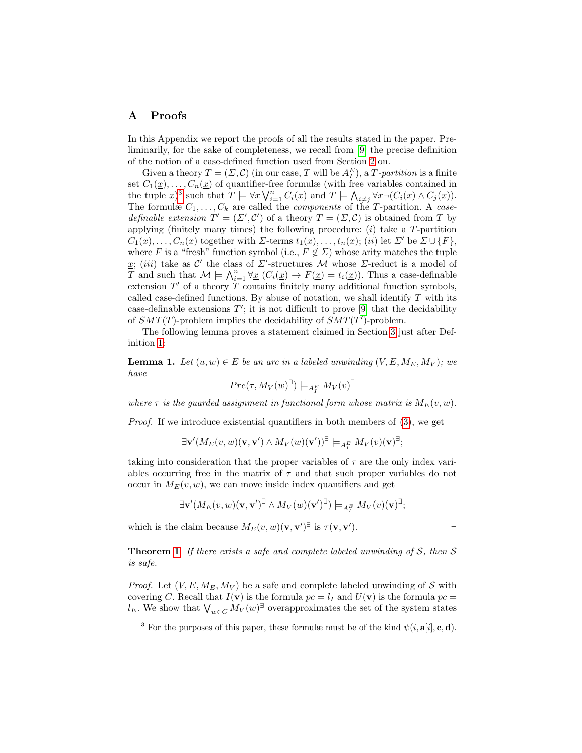### <span id="page-16-0"></span>A Proofs

In this Appendix we report the proofs of all the results stated in the paper. Preliminarily, for the sake of completeness, we recall from [\[9\]](#page-14-6) the precise definition of the notion of a case-defined function used from Section [2](#page-2-0) on.

Given a theory  $T = (\Sigma, C)$  (in our case, T will be  $A_I^E$ ), a T-partition is a finite set  $C_1(\underline{x}), \ldots, C_n(\underline{x})$  of quantifier-free formulæ (with free variables contained in the tuple  $\underline{x}$ <sup>[3](#page-16-1)</sup> such that  $T \models \forall \underline{x} \bigvee_{i=1}^n C_i(\underline{x})$  and  $T \models \bigwedge_{i \neq j} \forall \underline{x} \neg (C_i(\underline{x}) \land C_j(\underline{x}))$ . The formulæ  $C_1, \ldots, C_k$  are called the *components* of the T-partition. A case*definable extension*  $T' = (\Sigma', \mathcal{C}')$  of a theory  $T = (\Sigma, \mathcal{C})$  is obtained from T by applying (finitely many times) the following procedure:  $(i)$  take a T-partition  $C_1(\underline{x}), \ldots, C_n(\underline{x})$  together with  $\Sigma$ -terms  $t_1(\underline{x}), \ldots, t_n(\underline{x});$  (ii) let  $\Sigma'$  be  $\Sigma \cup \{F\}$ , where F is a "fresh" function symbol (i.e.,  $F \notin \Sigma$ ) whose arity matches the tuple  $\underline{x}$ ; (*iii*) take as  $\mathcal{C}'$  the class of  $\Sigma'$ -structures M whose  $\Sigma$ -reduct is a model of T and such that  $\mathcal{M} \models \bigwedge_{i=1}^n \forall \underline{x} \ (C_i(\underline{x}) \to F(\underline{x}) = t_i(\underline{x}))$ . Thus a case-definable extension  $T'$  of a theory  $T$  contains finitely many additional function symbols, called case-defined functions. By abuse of notation, we shall identify  $T$  with its case-definable extensions  $T'$ ; it is not difficult to prove [\[9\]](#page-14-6) that the decidability of  $SMT(T)$ -problem implies the decidability of  $SMT(T')$ -problem.

The following lemma proves a statement claimed in Section [3](#page-6-0) just after Definition [1:](#page-6-2)

<span id="page-16-2"></span>**Lemma 1.** Let  $(u, w) \in E$  be an arc in a labeled unwinding  $(V, E, M_E, M_V)$ ; we have

$$
Pre(\tau, M_V(w)^{\exists}) \models_{A_I^E} M_V(v)^{\exists}
$$

where  $\tau$  is the guarded assignment in functional form whose matrix is  $M_E(v, w)$ .

Proof. If we introduce existential quantifiers in both members of  $(3)$ , we get

$$
\exists \mathbf{v}' (M_E(v,w)(\mathbf{v},\mathbf{v}') \wedge M_V(w)(\mathbf{v}'))^{\exists} \models_{A_I^E} M_V(v)(\mathbf{v})^{\exists};
$$

taking into consideration that the proper variables of  $\tau$  are the only index variables occurring free in the matrix of  $\tau$  and that such proper variables do not occur in  $M_E(v, w)$ , we can move inside index quantifiers and get

$$
\exists \mathbf{v}' (M_E(v, w)(\mathbf{v}, \mathbf{v}')^{\exists} \wedge M_V(w)(\mathbf{v}')^{\exists}) \models_{A_I^E} M_V(v)(\mathbf{v})^{\exists};
$$

which is the claim because  $M_E(v, w)(\mathbf{v}, \mathbf{v}')^{\perp}$  is  $\tau(\mathbf{v}, \mathbf{v}')$  $\Box$ ).

**Theorem [1](#page-7-1)** If there exists a safe and complete labeled unwinding of S, then S is safe.

*Proof.* Let  $(V, E, M_E, M_V)$  be a safe and complete labeled unwinding of S with covering C. Recall that  $I(\mathbf{v})$  is the formula  $pc = l_I$  and  $U(\mathbf{v})$  is the formula  $pc =$  $l_E$ . We show that  $\bigvee_{w \in C} M_V(w)$ <sup>-1</sup> overapproximates the set of the system states

<span id="page-16-1"></span><sup>&</sup>lt;sup>3</sup> For the purposes of this paper, these formulæ must be of the kind  $\psi(\underline{i}, \mathbf{a}[\underline{i}], \mathbf{c}, \mathbf{d})$ .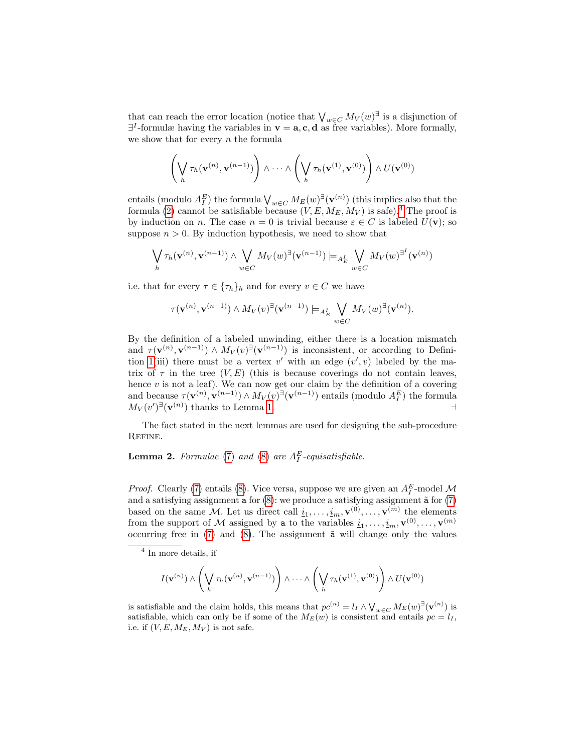that can reach the error location (notice that  $\bigvee_{w \in C} M_V(w)$ <sup>3</sup> is a disjunction of  $\exists^{I}$ -formulæ having the variables in  $\mathbf{v} = \mathbf{a}, \mathbf{c}, \mathbf{d}$  as free variables). More formally, we show that for every  $n$  the formula

$$
\left(\bigvee_h \tau_h(\mathbf{v}^{(n)}, \mathbf{v}^{(n-1)})\right) \wedge \cdots \wedge \left(\bigvee_h \tau_h(\mathbf{v}^{(1)}, \mathbf{v}^{(0)})\right) \wedge U(\mathbf{v}^{(0)})
$$

entails (modulo  $A_I^E$ ) the formula  $V_{w\in C} M_E(w) = (\mathbf{v}^{(n)})$  (this implies also that the formula [\(2\)](#page-4-1) cannot be satisfiable because  $(V, E, M_E, M_V)$  is safe).<sup>[4](#page-17-1)</sup> The proof is by induction on n. The case  $n = 0$  is trivial because  $\varepsilon \in C$  is labeled  $U(\mathbf{v})$ ; so suppose  $n > 0$ . By induction hypothesis, we need to show that

$$
\bigvee_h \tau_h(\mathbf{v}^{(n)}, \mathbf{v}^{(n-1)}) \wedge \bigvee_{w \in C} M_V(w)^{\exists} (\mathbf{v}^{(n-1)}) \models_{A_E^L} \bigvee_{w \in C} M_V(w)^{\exists^I} (\mathbf{v}^{(n)})
$$

i.e. that for every  $\tau \in {\{\tau_h\}_h}$  and for every  $v \in C$  we have

$$
\tau(\mathbf{v}^{(n)}, \mathbf{v}^{(n-1)}) \wedge M_V(v)^{\exists}(\mathbf{v}^{(n-1)}) \models_{A_E^I} \bigvee_{w \in C} M_V(w)^{\exists}(\mathbf{v}^{(n)}).
$$

By the definition of a labeled unwinding, either there is a location mismatch and  $\tau(\mathbf{v}^{(n)}, \mathbf{v}^{(n-1)}) \wedge M_V(v)^{\exists}(\mathbf{v}^{(n-1)})$  is inconsistent, or according to Defini-tion [1\(](#page-6-2)iii) there must be a vertex  $v'$  with an edge  $(v', v)$  labeled by the matrix of  $\tau$  in the tree  $(V, E)$  (this is because coverings do not contain leaves, hence  $v$  is not a leaf). We can now get our claim by the definition of a covering and because  $\tau(\mathbf{v}^{(n)}, \mathbf{v}^{(n-1)}) \wedge M_V(v)^{\exists}(\mathbf{v}^{(n-1)})$  entails (modulo  $A_I^E$ ) the formula  $M_V(v')^{\exists}(\mathbf{v}^{(n)})$  thanks to Lemma [1.](#page-16-2)

The fact stated in the next lemmas are used for designing the sub-procedure REFINE.

<span id="page-17-0"></span>**Lemma 2.** Formulae [\(7\)](#page-8-2) and [\(8\)](#page-8-1) are  $A_I^E$ -equisatisfiable.

*Proof.* Clearly [\(7\)](#page-8-2) entails [\(8\)](#page-8-1). Vice versa, suppose we are given an  $A_I^E$ -model M and a satisfying assignment  $a$  for  $(8)$ : we produce a satisfying assignment  $\tilde{a}$  for  $(7)$ based on the same M. Let us direct call  $i_1, \ldots, i_m, \mathbf{v}^{(0)}, \ldots, \mathbf{v}^{(m)}$  the elements from the support of M assigned by a to the variables  $i_1, \ldots, i_m, \mathbf{v}^{(0)}, \ldots, \mathbf{v}^{(m)}$ occurring free in  $(7)$  and  $(8)$ . The assignment  $\tilde{a}$  will change only the values

$$
I(\mathbf{v}^{(n)}) \wedge \left(\bigvee_h \tau_h(\mathbf{v}^{(n)}, \mathbf{v}^{(n-1)})\right) \wedge \cdots \wedge \left(\bigvee_h \tau_h(\mathbf{v}^{(1)}, \mathbf{v}^{(0)})\right) \wedge U(\mathbf{v}^{(0)})
$$

is satisfiable and the claim holds, this means that  $pc^{(n)} = l_I \wedge \bigvee_{w \in C} M_E(w)^{\exists} (\mathbf{v}^{(n)})$  is satisfiable, which can only be if some of the  $M_E(w)$  is consistent and entails  $pc = l_I$ , i.e. if  $(V, E, M_E, M_V)$  is not safe.

<span id="page-17-1"></span><sup>&</sup>lt;sup>4</sup> In more details, if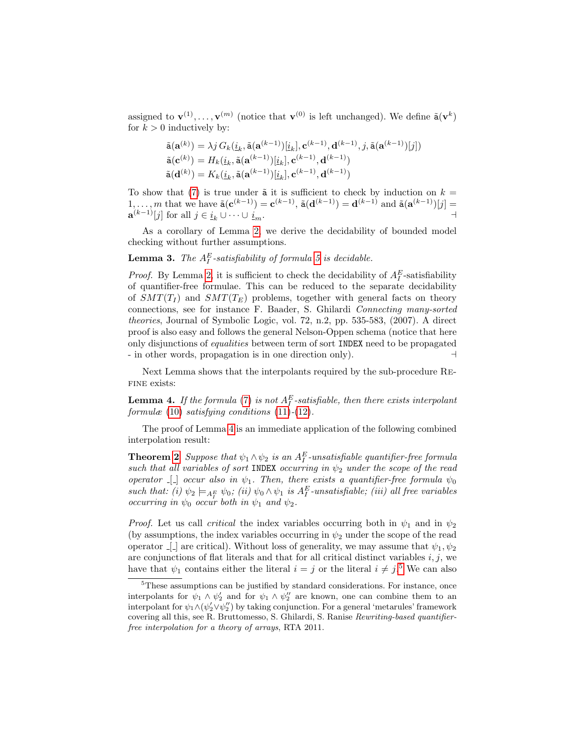assigned to  $\mathbf{v}^{(1)}, \ldots, \mathbf{v}^{(m)}$  (notice that  $\mathbf{v}^{(0)}$  is left unchanged). We define  $\tilde{\mathbf{a}}(\mathbf{v}^k)$ for  $k > 0$  inductively by:

<span id="page-18-0"></span>
$$
\begin{aligned} &\tilde{\mathbf{a}}(\mathbf{a}^{(k)})=\lambda j\,G_k(\underline{i}_k,\tilde{\mathbf{a}}(\mathbf{a}^{(k-1)})[\underline{i}_k],\mathbf{c}^{(k-1)},\mathbf{d}^{(k-1)},j,\tilde{\mathbf{a}}(\mathbf{a}^{(k-1)})[j])\\ &\tilde{\mathbf{a}}(\mathbf{c}^{(k)})=H_k(\underline{i}_k,\tilde{\mathbf{a}}(\mathbf{a}^{(k-1)})[\underline{i}_k],\mathbf{c}^{(k-1)},\mathbf{d}^{(k-1)})\\ &\tilde{\mathbf{a}}(\mathbf{d}^{(k)})=K_k(\underline{i}_k,\tilde{\mathbf{a}}(\mathbf{a}^{(k-1)})[\underline{i}_k],\mathbf{c}^{(k-1)},\mathbf{d}^{(k-1)}) \end{aligned}
$$

To show that [\(7\)](#page-8-2) is true under  $\tilde{a}$  it is sufficient to check by induction on  $k =$ 1,..., *m* that we have  $\tilde{\mathbf{a}}(\mathbf{c}^{(k-1)}) = \mathbf{c}^{(k-1)}$ ,  $\tilde{\mathbf{a}}(\mathbf{d}^{(k-1)}) = \mathbf{d}^{(k-1)}$  and  $\tilde{\mathbf{a}}(\mathbf{a}^{(k-1)})[j] =$  $\mathbf{a}^{(k-1)}[j]$  for all  $j \in \underline{i}_k \cup \cdots \cup \underline{i}_m$ .

As a corollary of Lemma [2,](#page-17-0) we derive the decidability of bounded model checking without further assumptions.

**Lemma 3.** The  $A_I^E$ -satisfiability of formula [5](#page-8-0) is decidable.

*Proof.* By Lemma [2,](#page-17-0) it is sufficient to check the decidability of  $A_I^E$ -satisfiability of quantifier-free formulae. This can be reduced to the separate decidability of  $SMT(T_I)$  and  $SMT(T_E)$  problems, together with general facts on theory connections, see for instance F. Baader, S. Ghilardi Connecting many-sorted theories, Journal of Symbolic Logic, vol. 72, n.2, pp. 535-583, (2007). A direct proof is also easy and follows the general Nelson-Oppen schema (notice that here only disjunctions of equalities between term of sort INDEX need to be propagated - in other words, propagation is in one direction only).

Next Lemma shows that the interpolants required by the sub-procedure Refine exists:

<span id="page-18-1"></span>**Lemma 4.** If the formula [\(7\)](#page-8-2) is not  $A_I^E$ -satisfiable, then there exists interpolant formulæ  $(10)$  satisfying conditions  $(11)-(12)$  $(11)-(12)$  $(11)-(12)$ .

The proof of Lemma [4](#page-18-1) is an immediate application of the following combined interpolation result:

**Theorem [2](#page-9-2)** Suppose that  $\psi_1 \wedge \psi_2$  is an  $A_I^E$ -unsatisfiable quantifier-free formula such that all variables of sort INDEX occurring in  $\psi_2$  under the scope of the read operator [1] occur also in  $\psi_1$ . Then, there exists a quantifier-free formula  $\psi_0$ such that: (i)  $\psi_2 \models_{A_I^E} \psi_0$ ; (ii)  $\psi_0 \wedge \psi_1$  is  $A_I^E$ -unsatisfiable; (iii) all free variables occurring in  $\psi_0$  occur both in  $\psi_1$  and  $\psi_2$ .

*Proof.* Let us call *critical* the index variables occurring both in  $\psi_1$  and in  $\psi_2$ (by assumptions, the index variables occurring in  $\psi_2$  under the scope of the read operator [ ] are critical). Without loss of generality, we may assume that  $\psi_1, \psi_2$ are conjunctions of flat literals and that for all critical distinct variables  $i, j$ , we have that  $\psi_1$  contains either the literal  $i = j$  or the literal  $i \neq j$ <sup>[5](#page-18-2)</sup>. We can also

<span id="page-18-2"></span><sup>5</sup>These assumptions can be justified by standard considerations. For instance, once interpolants for  $\psi_1 \wedge \psi_2'$  and for  $\psi_1 \wedge \psi_2''$  are known, one can combine them to an interpolant for  $\psi_1 \wedge (\psi_2' \vee \psi_2'')$  by taking conjunction. For a general 'metarules' framework covering all this, see R. Bruttomesso, S. Ghilardi, S. Ranise Rewriting-based quantifierfree interpolation for a theory of arrays, RTA 2011.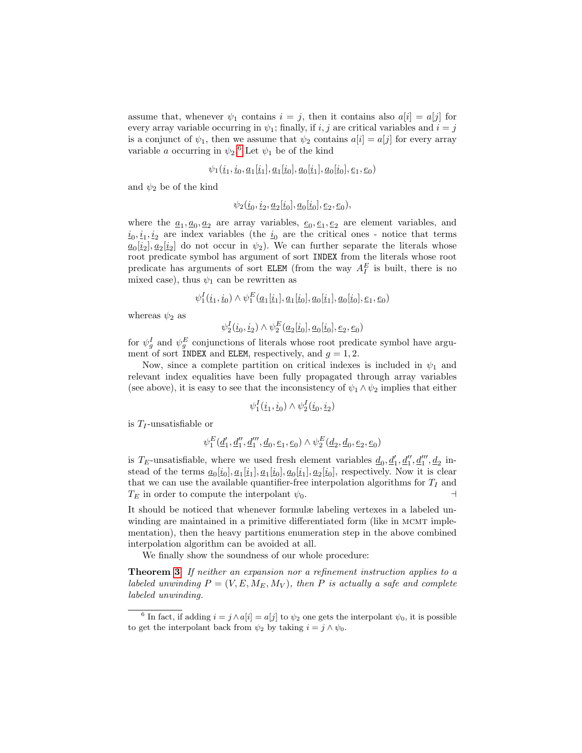assume that, whenever  $\psi_1$  contains  $i = j$ , then it contains also  $a[i] = a[j]$  for every array variable occurring in  $\psi_1$ ; finally, if i, j are critical variables and  $i = j$ is a conjunct of  $\psi_1$ , then we assume that  $\psi_2$  contains  $a[i] = a[j]$  for every array variable *a* occurring in  $\psi_2$ <sup>[6](#page-19-0)</sup> Let  $\psi_1$  be of the kind

$$
\psi_1(\underline{i}_1, \underline{i}_0, \underline{a}_1[\underline{i}_1], \underline{a}_1[\underline{i}_0], \underline{a}_0[\underline{i}_1], \underline{a}_0[\underline{i}_0], \underline{e}_1, \underline{e}_0)
$$

and  $\psi_2$  be of the kind

$$
\psi_2(\underline{i}_0, \underline{i}_2, \underline{a}_2[\underline{i}_0], \underline{a}_0[\underline{i}_0], \underline{e}_2, \underline{e}_0),
$$

where the  $\underline{a}_1, \underline{a}_0, \underline{a}_2$  are array variables,  $\underline{e}_0, \underline{e}_1, \underline{e}_2$  are element variables, and  $i_0, i_1, i_2$  are index variables (the  $i_0$  are the critical ones - notice that terms  $\underline{a_0[i_2]}, \underline{a_2[i_2]}$  do not occur in  $\psi_2$ ). We can further separate the literals whose root predicate symbol has argument of sort INDEX from the literals whose root predicate has arguments of sort ELEM (from the way  $A_I^E$  is built, there is no mixed case), thus  $\psi_1$  can be rewritten as

$$
\psi_1^I(\underline{i}_1, \underline{i}_0) \wedge \psi_1^E(\underline{a}_1[\underline{i}_1], \underline{a}_1[\underline{i}_0], \underline{a}_0[\underline{i}_1], \underline{a}_0[\underline{i}_0], \underline{e}_1, \underline{e}_0)
$$

whereas  $\psi_2$  as

$$
\psi_2^I(\underline{i}_0, \underline{i}_2) \wedge \psi_2^E(\underline{a}_2[\underline{i}_0], \underline{a}_0[\underline{i}_0], \underline{e}_2, \underline{e}_0)
$$

for  $\psi_g^I$  and  $\psi_g^E$  conjunctions of literals whose root predicate symbol have argument of sort INDEX and ELEM, respectively, and  $q = 1, 2$ .

Now, since a complete partition on critical indexes is included in  $\psi_1$  and relevant index equalities have been fully propagated through array variables (see above), it is easy to see that the inconsistency of  $\psi_1 \wedge \psi_2$  implies that either

$$
\psi_1^I(\underline{i}_1, \underline{i}_0) \wedge \psi_2^I(\underline{i}_0, \underline{i}_2)
$$

is  $T_I$ -unsatisfiable or

$$
\psi_1^E(\underline{d}'_1, \underline{d}''_1, \underline{d}'''_1, \underline{d}_0, \underline{e}_1, \underline{e}_0) \wedge \psi_2^E(\underline{d}_2, \underline{d}_0, \underline{e}_2, \underline{e}_0)
$$

is  $T_E$ -unsatisfiable, where we used fresh element variables  $\underline{d}_0, \underline{d}'_1, \underline{d}''_1, \underline{d}''_1, \underline{d}''_2$  instead of the terms  $\underline{a_0[i_0]}, \underline{a_1[i_1]}, \underline{a_1[i_0]}, \underline{a_0[i_1]}, \underline{a_2[i_0]},$  respectively. Now it is clear that we can use the available quantifier-free interpolation algorithms for  $T_I$  and  $T_E$  in order to compute the interpolant  $\psi_0$ .

It should be noticed that whenever formulæ labeling vertexes in a labeled unwinding are maintained in a primitive differentiated form (like in MCMT implementation), then the heavy partitions enumeration step in the above combined interpolation algorithm can be avoided at all.

We finally show the soundness of our whole procedure:

**Theorem [3](#page-10-2)** If neither an expansion nor a refinement instruction applies to a labeled unwinding  $P = (V, E, M_E, M_V)$ , then P is actually a safe and complete labeled unwinding.

<span id="page-19-0"></span><sup>&</sup>lt;sup>6</sup> In fact, if adding  $i = j \wedge a[i] = a[j]$  to  $\psi_2$  one gets the interpolant  $\psi_0$ , it is possible to get the interpolant back from  $\psi_2$  by taking  $i = j \wedge \psi_0$ .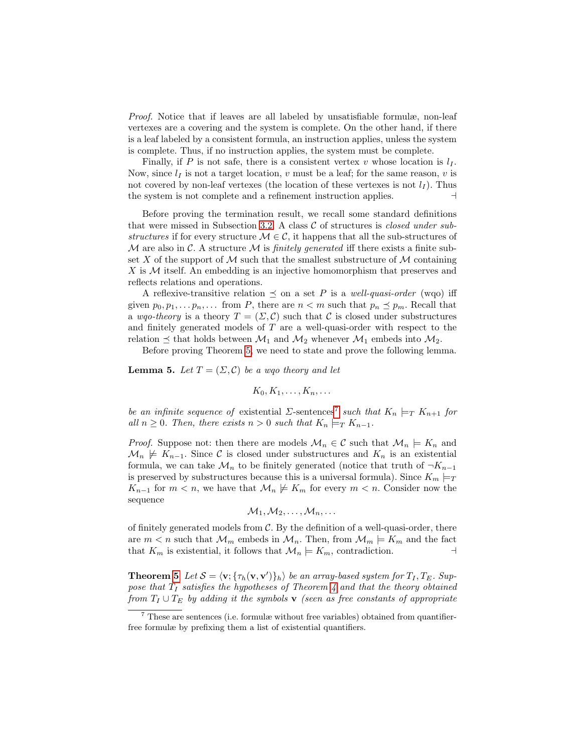Proof. Notice that if leaves are all labeled by unsatisfiable formulæ, non-leaf vertexes are a covering and the system is complete. On the other hand, if there is a leaf labeled by a consistent formula, an instruction applies, unless the system is complete. Thus, if no instruction applies, the system must be complete.

Finally, if P is not safe, there is a consistent vertex v whose location is  $l_I$ . Now, since  $l_I$  is not a target location, v must be a leaf; for the same reason, v is not covered by non-leaf vertexes (the location of these vertexes is not  $l_I$ ). Thus the system is not complete and a refinement instruction applies.  $\Box$ 

Before proving the termination result, we recall some standard definitions that were missed in Subsection [3.2.](#page-11-0) A class  $C$  of structures is *closed under sub*structures if for every structure  $\mathcal{M} \in \mathcal{C}$ , it happens that all the sub-structures of M are also in C. A structure M is *finitely generated* iff there exists a finite subset X of the support of  $M$  such that the smallest substructure of  $M$  containing X is  $M$  itself. An embedding is an injective homomorphism that preserves and reflects relations and operations.

A reflexive-transitive relation  $\preceq$  on a set P is a well-quasi-order (wqo) iff given  $p_0, p_1, \ldots, p_n, \ldots$  from P, there are  $n < m$  such that  $p_n \preceq p_m$ . Recall that a wqo-theory is a theory  $T = (\Sigma, \mathcal{C})$  such that C is closed under substructures and finitely generated models of T are a well-quasi-order with respect to the relation  $\preceq$  that holds between  $\mathcal{M}_1$  and  $\mathcal{M}_2$  whenever  $\mathcal{M}_1$  embeds into  $\mathcal{M}_2$ .

Before proving Theorem [5,](#page-11-3) we need to state and prove the following lemma.

<span id="page-20-1"></span>**Lemma 5.** Let  $T = (\Sigma, \mathcal{C})$  be a wgo theory and let

$$
K_0, K_1, \ldots, K_n, \ldots
$$

be an infinite sequence of existential  $\Sigma$ -sentences<sup>[7](#page-20-0)</sup> such that  $K_n \models_T K_{n+1}$  for all  $n \geq 0$ . Then, there exists  $n > 0$  such that  $K_n \models_T K_{n-1}$ .

*Proof.* Suppose not: then there are models  $\mathcal{M}_n \in \mathcal{C}$  such that  $\mathcal{M}_n \models K_n$  and  $\mathcal{M}_n \not\models K_{n-1}$ . Since C is closed under substructures and  $K_n$  is an existential formula, we can take  $\mathcal{M}_n$  to be finitely generated (notice that truth of  $\neg K_{n-1}$ is preserved by substructures because this is a universal formula). Since  $K_m \models_T$  $K_{n-1}$  for  $m < n$ , we have that  $\mathcal{M}_n \not\models K_m$  for every  $m < n$ . Consider now the sequence

$$
\mathcal{M}_1, \mathcal{M}_2, \ldots, \mathcal{M}_n, \ldots
$$

of finitely generated models from  $C$ . By the definition of a well-quasi-order, there are  $m < n$  such that  $\mathcal{M}_m$  embeds in  $\mathcal{M}_n$ . Then, from  $\mathcal{M}_m \models K_m$  and the fact that  $K_m$  is existential, it follows that  $\mathcal{M}_n \models K_m$ , contradiction. that  $K_m$  is existential, it follows that  $\mathcal{M}_n \models K_m$ , contradiction.

**Theorem [5](#page-11-3)** Let  $S = \langle v; {\{\tau_h(v, v')\}_h}}\rangle$  be an array-based system for  $T_I, T_E$ . Suppose that  $T_I$  satisfies the hypotheses of Theorem [4](#page-11-2) and that the theory obtained from  $T_I \cup T_E$  by adding it the symbols **v** (seen as free constants of appropriate

<span id="page-20-0"></span> $^7$  These are sentences (i.e. formulæ without free variables) obtained from quantifierfree formulæ by prefixing them a list of existential quantifiers.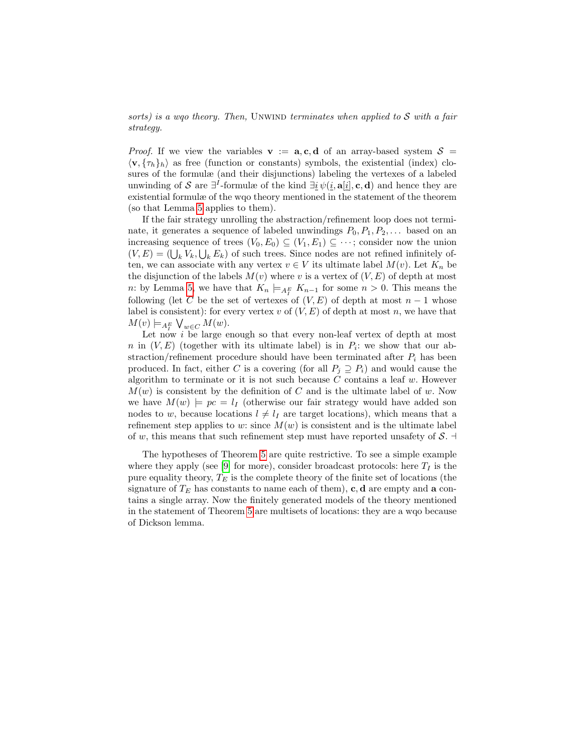sorts) is a wgo theory. Then, UNWIND terminates when applied to  $S$  with a fair strategy.

*Proof.* If we view the variables  $\mathbf{v} := \mathbf{a}, \mathbf{c}, \mathbf{d}$  of an array-based system  $S =$  $\langle v, \{\tau_h\}_h \rangle$  as free (function or constants) symbols, the existential (index) closures of the formulæ (and their disjunctions) labeling the vertexes of a labeled unwinding of S are  $\exists^{I}$ -formulæ of the kind  $\exists \underline{i} \psi(\underline{i}, \mathbf{a}[\underline{i}], \mathbf{c}, \mathbf{d})$  and hence they are existential formulæ of the wqo theory mentioned in the statement of the theorem (so that Lemma [5](#page-20-1) applies to them).

If the fair strategy unrolling the abstraction/refinement loop does not terminate, it generates a sequence of labeled unwindings  $P_0, P_1, P_2, \ldots$  based on an increasing sequence of trees  $(V_0, E_0) \subseteq (V_1, E_1) \subseteq \cdots$ ; consider now the union  $(V, E) = (\bigcup_k V_k, \bigcup_k E_k)$  of such trees. Since nodes are not refined infinitely often, we can associate with any vertex  $v \in V$  its ultimate label  $M(v)$ . Let  $K_n$  be the disjunction of the labels  $M(v)$  where v is a vertex of  $(V, E)$  of depth at most n: by Lemma [5,](#page-20-1) we have that  $K_n \models_{A_I^E} K_{n-1}$  for some  $n > 0$ . This means the following (let C be the set of vertexes of  $(V, E)$  of depth at most  $n - 1$  whose label is consistent): for every vertex v of  $(V, E)$  of depth at most n, we have that  $M(v) \models_{A_I^E} \bigvee_{w \in C} M(w).$ 

Let now *i* be large enough so that every non-leaf vertex of depth at most n in  $(V, E)$  (together with its ultimate label) is in  $P_i$ : we show that our abstraction/refinement procedure should have been terminated after  $P_i$  has been produced. In fact, either C is a covering (for all  $P_j \supseteq P_i$ ) and would cause the algorithm to terminate or it is not such because  $C$  contains a leaf  $w$ . However  $M(w)$  is consistent by the definition of C and is the ultimate label of w. Now we have  $M(w) \models pc = l_I$  (otherwise our fair strategy would have added son nodes to w, because locations  $l \neq l_I$  are target locations), which means that a refinement step applies to w: since  $M(w)$  is consistent and is the ultimate label of w, this means that such refinement step must have reported unsafety of  $S$ .

The hypotheses of Theorem [5](#page-11-3) are quite restrictive. To see a simple example where they apply (see [\[9\]](#page-14-6) for more), consider broadcast protocols: here  $T_I$  is the pure equality theory,  $T_E$  is the complete theory of the finite set of locations (the signature of  $T_E$  has constants to name each of them), c, d are empty and a contains a single array. Now the finitely generated models of the theory mentioned in the statement of Theorem [5](#page-11-3) are multisets of locations: they are a wqo because of Dickson lemma.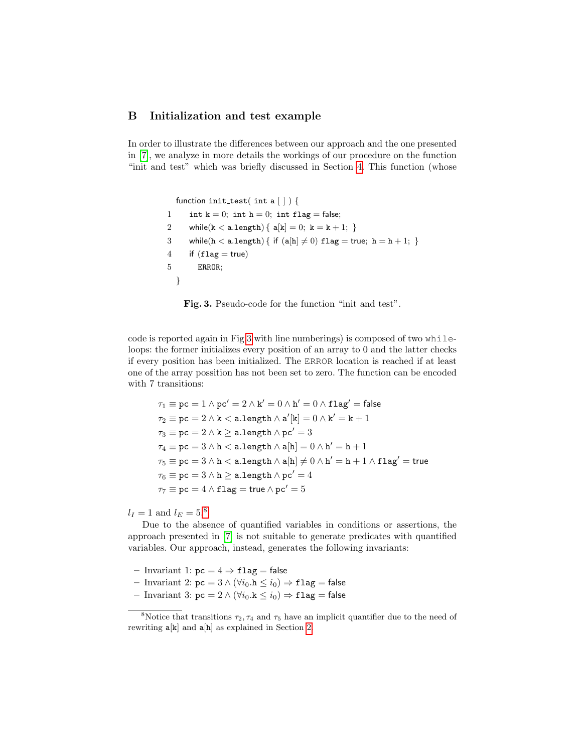## B Initialization and test example

In order to illustrate the differences between our approach and the one presented in [\[7\]](#page-14-8), we analyze in more details the workings of our procedure on the function "init and test" which was briefly discussed in Section [4.](#page-12-0) This function (whose

```
function init_test( int a \lceil \rceil ) {
1 int k = 0; int h = 0; int flag = false;
2 while(k < a.length) { a[k] = 0; k = k + 1; }
3 while(h < a.length) { if (a[h] \neq 0) flag = true; h = h + 1; }
4 if (flag = true)5 ERROR;
  }
```
<span id="page-22-0"></span>

code is reported again in Fig[.3](#page-22-0) with line numberings) is composed of two whileloops: the former initializes every position of an array to 0 and the latter checks if every position has been initialized. The ERROR location is reached if at least one of the array possition has not been set to zero. The function can be encoded with 7 transitions:

$$
\begin{array}{l} \tau_1 \equiv \mathrm{pc} = 1 \wedge \mathrm{pc'} = 2 \wedge \mathrm{k'} = 0 \wedge \mathrm{h'} = 0 \wedge \mathrm{flag'} = \mathrm{false} \\ \tau_2 \equiv \mathrm{pc} = 2 \wedge \mathrm{k} < \mathrm{a.length} \wedge \mathrm{a'}[\mathrm{k}] = 0 \wedge \mathrm{k'} = \mathrm{k} + 1 \\ \tau_3 \equiv \mathrm{pc} = 2 \wedge \mathrm{k} \geq \mathrm{a.length} \wedge \mathrm{pc'} = 3 \\ \tau_4 \equiv \mathrm{pc} = 3 \wedge \mathrm{h} < \mathrm{a.length} \wedge \mathrm{a[h]} = 0 \wedge \mathrm{h'} = \mathrm{h} + 1 \\ \tau_5 \equiv \mathrm{pc} = 3 \wedge \mathrm{h} < \mathrm{a.length} \wedge \mathrm{a[h]} \neq 0 \wedge \mathrm{h'} = \mathrm{h} + 1 \wedge \mathrm{flag'} = \mathrm{true} \\ \tau_6 \equiv \mathrm{pc} = 3 \wedge \mathrm{h} \geq \mathrm{a.length} \wedge \mathrm{pc'} = 4 \\ \tau_7 \equiv \mathrm{pc} = 4 \wedge \mathrm{flag} = \mathrm{true} \wedge \mathrm{pc'} = 5 \end{array}
$$

 $l_I = 1$  and  $l_E = 5^{8}$  $l_E = 5^{8}$  $l_E = 5^{8}$ 

Due to the absence of quantified variables in conditions or assertions, the approach presented in [\[7\]](#page-14-8) is not suitable to generate predicates with quantified variables. Our approach, instead, generates the following invariants:

- Invariant 1:  $pc = 4 \Rightarrow f \log f$  alse
- Invariant 2: pc =  $3 \wedge (\forall i_0.h \le i_0)$  ⇒ flag = false
- Invariant 3: pc =  $2 \wedge (\forall i_0 \cdot k \leq i_0)$  ⇒ flag = false

<span id="page-22-1"></span><sup>&</sup>lt;sup>8</sup>Notice that transitions  $\tau_2$ ,  $\tau_4$  and  $\tau_5$  have an implicit quantifier due to the need of rewriting  $a[k]$  and  $a[h]$  as explained in Section [2.](#page-2-0)